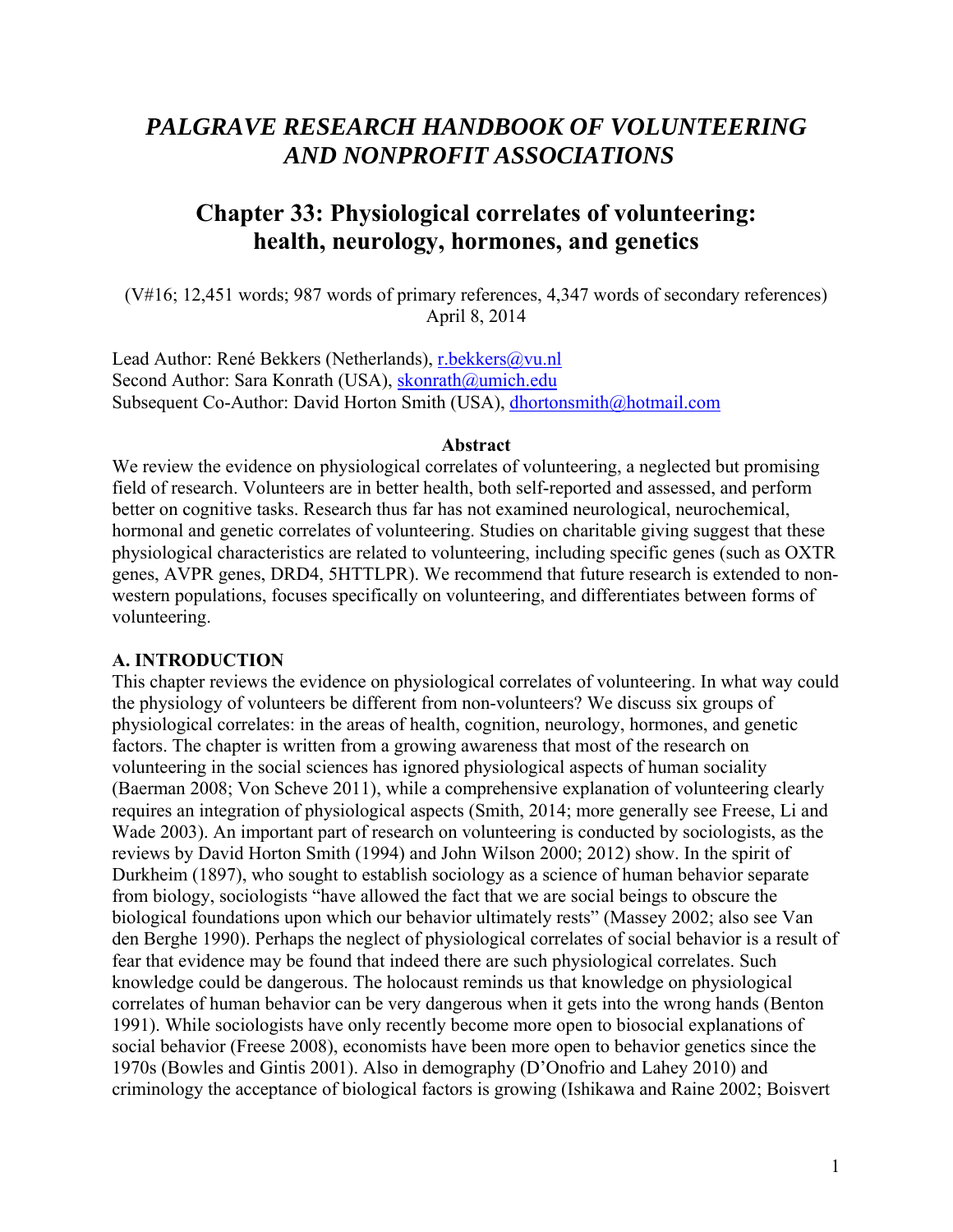# *PALGRAVE RESEARCH HANDBOOK OF VOLUNTEERING AND NONPROFIT ASSOCIATIONS*

# **Chapter 33: Physiological correlates of volunteering: health, neurology, hormones, and genetics**

(V#16; 12,451 words; 987 words of primary references, 4,347 words of secondary references) April 8, 2014

Lead Author: René Bekkers (Netherlands), r.bekkers@vu.nl Second Author: Sara Konrath (USA), skonrath@umich.edu Subsequent Co-Author: David Horton Smith (USA), dhortonsmith@hotmail.com

#### **Abstract**

We review the evidence on physiological correlates of volunteering, a neglected but promising field of research. Volunteers are in better health, both self-reported and assessed, and perform better on cognitive tasks. Research thus far has not examined neurological, neurochemical, hormonal and genetic correlates of volunteering. Studies on charitable giving suggest that these physiological characteristics are related to volunteering, including specific genes (such as OXTR genes, AVPR genes, DRD4, 5HTTLPR). We recommend that future research is extended to nonwestern populations, focuses specifically on volunteering, and differentiates between forms of volunteering.

### **A. INTRODUCTION**

This chapter reviews the evidence on physiological correlates of volunteering. In what way could the physiology of volunteers be different from non-volunteers? We discuss six groups of physiological correlates: in the areas of health, cognition, neurology, hormones, and genetic factors. The chapter is written from a growing awareness that most of the research on volunteering in the social sciences has ignored physiological aspects of human sociality (Baerman 2008; Von Scheve 2011), while a comprehensive explanation of volunteering clearly requires an integration of physiological aspects (Smith, 2014; more generally see Freese, Li and Wade 2003). An important part of research on volunteering is conducted by sociologists, as the reviews by David Horton Smith (1994) and John Wilson 2000; 2012) show. In the spirit of Durkheim (1897), who sought to establish sociology as a science of human behavior separate from biology, sociologists "have allowed the fact that we are social beings to obscure the biological foundations upon which our behavior ultimately rests" (Massey 2002; also see Van den Berghe 1990). Perhaps the neglect of physiological correlates of social behavior is a result of fear that evidence may be found that indeed there are such physiological correlates. Such knowledge could be dangerous. The holocaust reminds us that knowledge on physiological correlates of human behavior can be very dangerous when it gets into the wrong hands (Benton 1991). While sociologists have only recently become more open to biosocial explanations of social behavior (Freese 2008), economists have been more open to behavior genetics since the 1970s (Bowles and Gintis 2001). Also in demography (D'Onofrio and Lahey 2010) and criminology the acceptance of biological factors is growing (Ishikawa and Raine 2002; Boisvert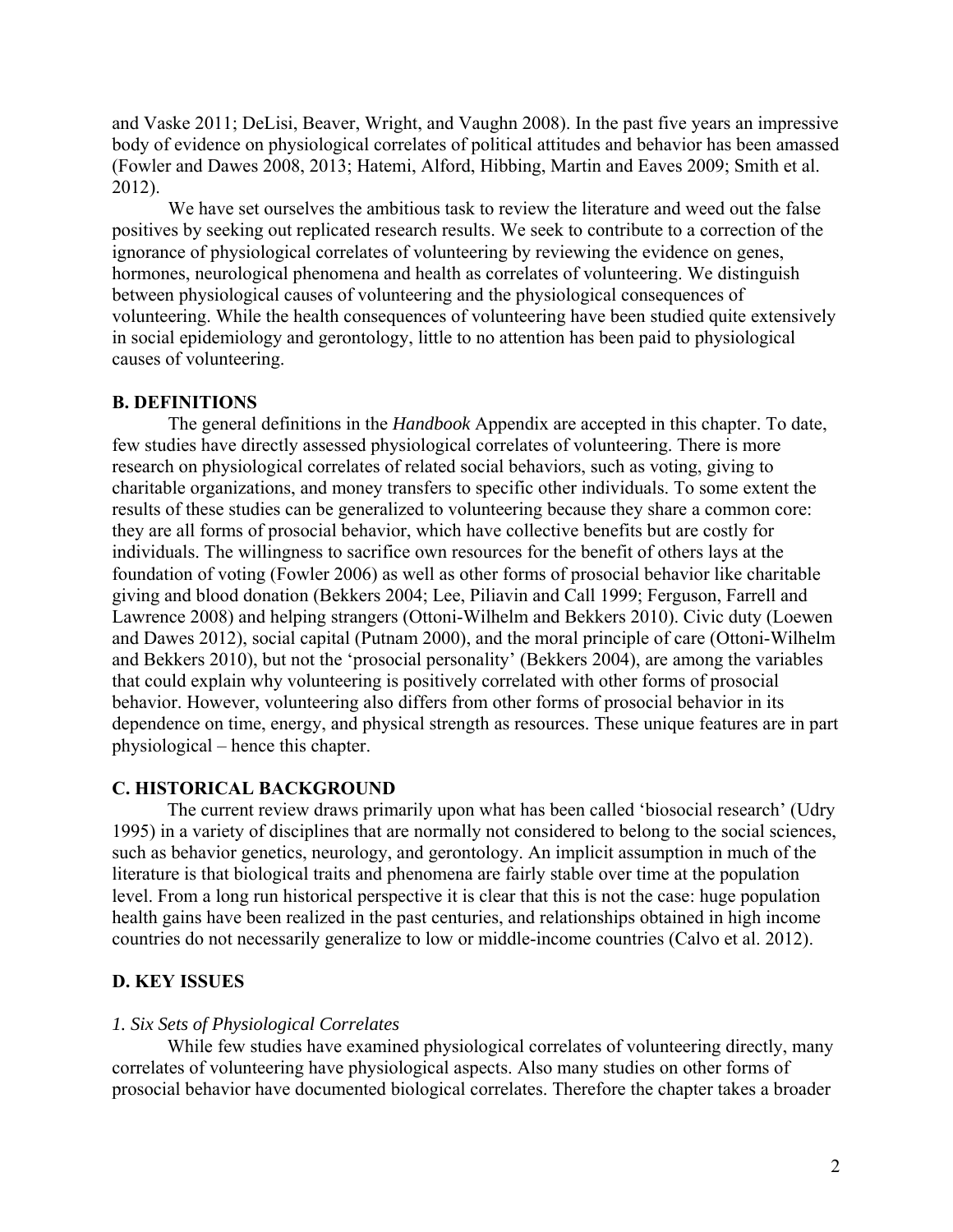and Vaske 2011; DeLisi, Beaver, Wright, and Vaughn 2008). In the past five years an impressive body of evidence on physiological correlates of political attitudes and behavior has been amassed (Fowler and Dawes 2008, 2013; Hatemi, Alford, Hibbing, Martin and Eaves 2009; Smith et al. 2012).

We have set ourselves the ambitious task to review the literature and weed out the false positives by seeking out replicated research results. We seek to contribute to a correction of the ignorance of physiological correlates of volunteering by reviewing the evidence on genes, hormones, neurological phenomena and health as correlates of volunteering. We distinguish between physiological causes of volunteering and the physiological consequences of volunteering. While the health consequences of volunteering have been studied quite extensively in social epidemiology and gerontology, little to no attention has been paid to physiological causes of volunteering.

## **B. DEFINITIONS**

The general definitions in the *Handbook* Appendix are accepted in this chapter. To date, few studies have directly assessed physiological correlates of volunteering. There is more research on physiological correlates of related social behaviors, such as voting, giving to charitable organizations, and money transfers to specific other individuals. To some extent the results of these studies can be generalized to volunteering because they share a common core: they are all forms of prosocial behavior, which have collective benefits but are costly for individuals. The willingness to sacrifice own resources for the benefit of others lays at the foundation of voting (Fowler 2006) as well as other forms of prosocial behavior like charitable giving and blood donation (Bekkers 2004; Lee, Piliavin and Call 1999; Ferguson, Farrell and Lawrence 2008) and helping strangers (Ottoni-Wilhelm and Bekkers 2010). Civic duty (Loewen and Dawes 2012), social capital (Putnam 2000), and the moral principle of care (Ottoni-Wilhelm and Bekkers 2010), but not the 'prosocial personality' (Bekkers 2004), are among the variables that could explain why volunteering is positively correlated with other forms of prosocial behavior. However, volunteering also differs from other forms of prosocial behavior in its dependence on time, energy, and physical strength as resources. These unique features are in part physiological – hence this chapter.

## **C. HISTORICAL BACKGROUND**

The current review draws primarily upon what has been called 'biosocial research' (Udry 1995) in a variety of disciplines that are normally not considered to belong to the social sciences, such as behavior genetics, neurology, and gerontology. An implicit assumption in much of the literature is that biological traits and phenomena are fairly stable over time at the population level. From a long run historical perspective it is clear that this is not the case: huge population health gains have been realized in the past centuries, and relationships obtained in high income countries do not necessarily generalize to low or middle-income countries (Calvo et al. 2012).

### **D. KEY ISSUES**

#### *1. Six Sets of Physiological Correlates*

While few studies have examined physiological correlates of volunteering directly, many correlates of volunteering have physiological aspects. Also many studies on other forms of prosocial behavior have documented biological correlates. Therefore the chapter takes a broader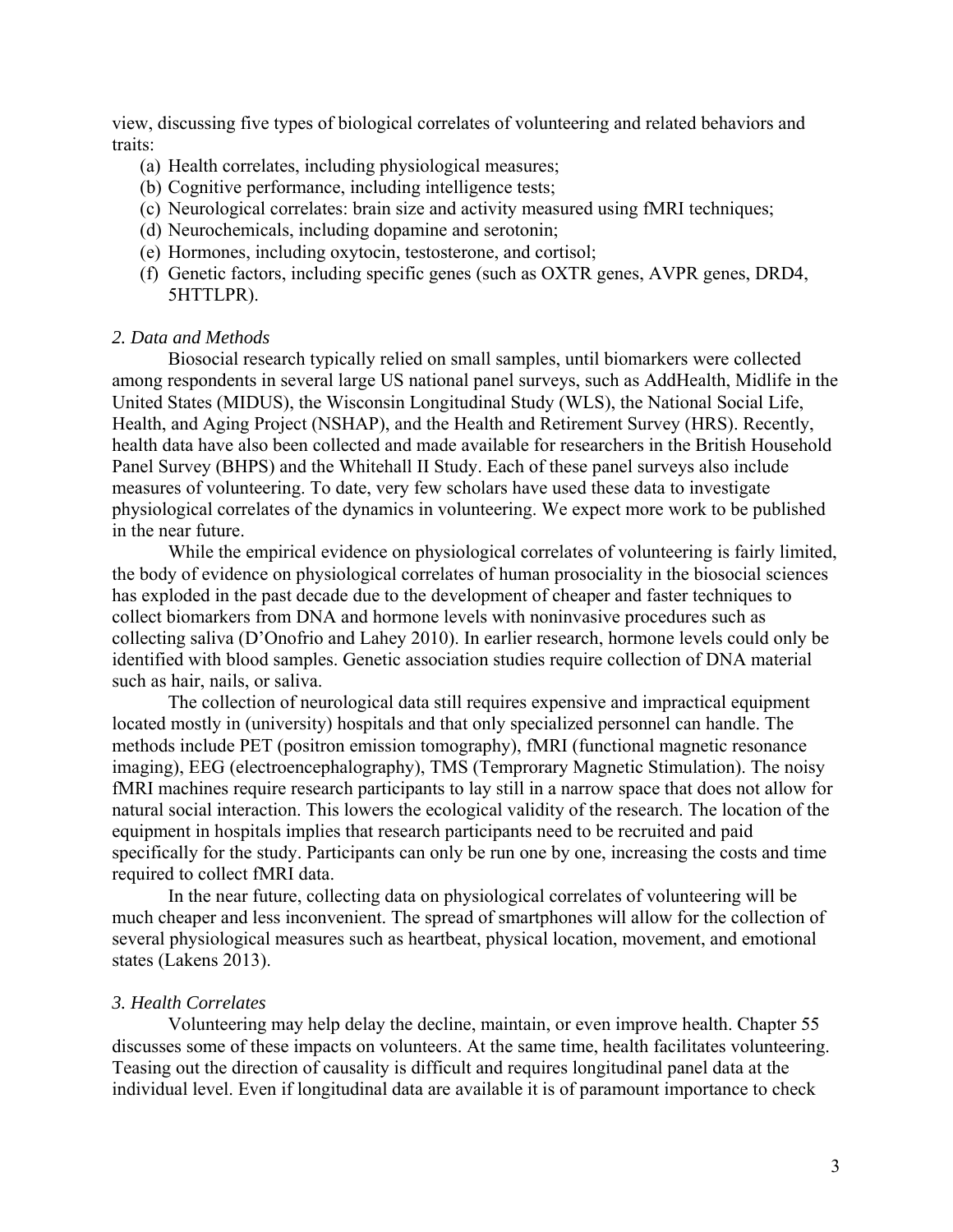view, discussing five types of biological correlates of volunteering and related behaviors and traits:

- (a) Health correlates, including physiological measures;
- (b) Cognitive performance, including intelligence tests;
- (c) Neurological correlates: brain size and activity measured using fMRI techniques;
- (d) Neurochemicals, including dopamine and serotonin;
- (e) Hormones, including oxytocin, testosterone, and cortisol;
- (f) Genetic factors, including specific genes (such as OXTR genes, AVPR genes, DRD4, 5HTTLPR).

#### *2. Data and Methods*

Biosocial research typically relied on small samples, until biomarkers were collected among respondents in several large US national panel surveys, such as AddHealth, Midlife in the United States (MIDUS), the Wisconsin Longitudinal Study (WLS), the National Social Life, Health, and Aging Project (NSHAP), and the Health and Retirement Survey (HRS). Recently, health data have also been collected and made available for researchers in the British Household Panel Survey (BHPS) and the Whitehall II Study. Each of these panel surveys also include measures of volunteering. To date, very few scholars have used these data to investigate physiological correlates of the dynamics in volunteering. We expect more work to be published in the near future.

While the empirical evidence on physiological correlates of volunteering is fairly limited, the body of evidence on physiological correlates of human prosociality in the biosocial sciences has exploded in the past decade due to the development of cheaper and faster techniques to collect biomarkers from DNA and hormone levels with noninvasive procedures such as collecting saliva (D'Onofrio and Lahey 2010). In earlier research, hormone levels could only be identified with blood samples. Genetic association studies require collection of DNA material such as hair, nails, or saliva.

The collection of neurological data still requires expensive and impractical equipment located mostly in (university) hospitals and that only specialized personnel can handle. The methods include PET (positron emission tomography), fMRI (functional magnetic resonance imaging), EEG (electroencephalography), TMS (Temprorary Magnetic Stimulation). The noisy fMRI machines require research participants to lay still in a narrow space that does not allow for natural social interaction. This lowers the ecological validity of the research. The location of the equipment in hospitals implies that research participants need to be recruited and paid specifically for the study. Participants can only be run one by one, increasing the costs and time required to collect fMRI data.

In the near future, collecting data on physiological correlates of volunteering will be much cheaper and less inconvenient. The spread of smartphones will allow for the collection of several physiological measures such as heartbeat, physical location, movement, and emotional states (Lakens 2013).

#### *3. Health Correlates*

Volunteering may help delay the decline, maintain, or even improve health. Chapter 55 discusses some of these impacts on volunteers. At the same time, health facilitates volunteering. Teasing out the direction of causality is difficult and requires longitudinal panel data at the individual level. Even if longitudinal data are available it is of paramount importance to check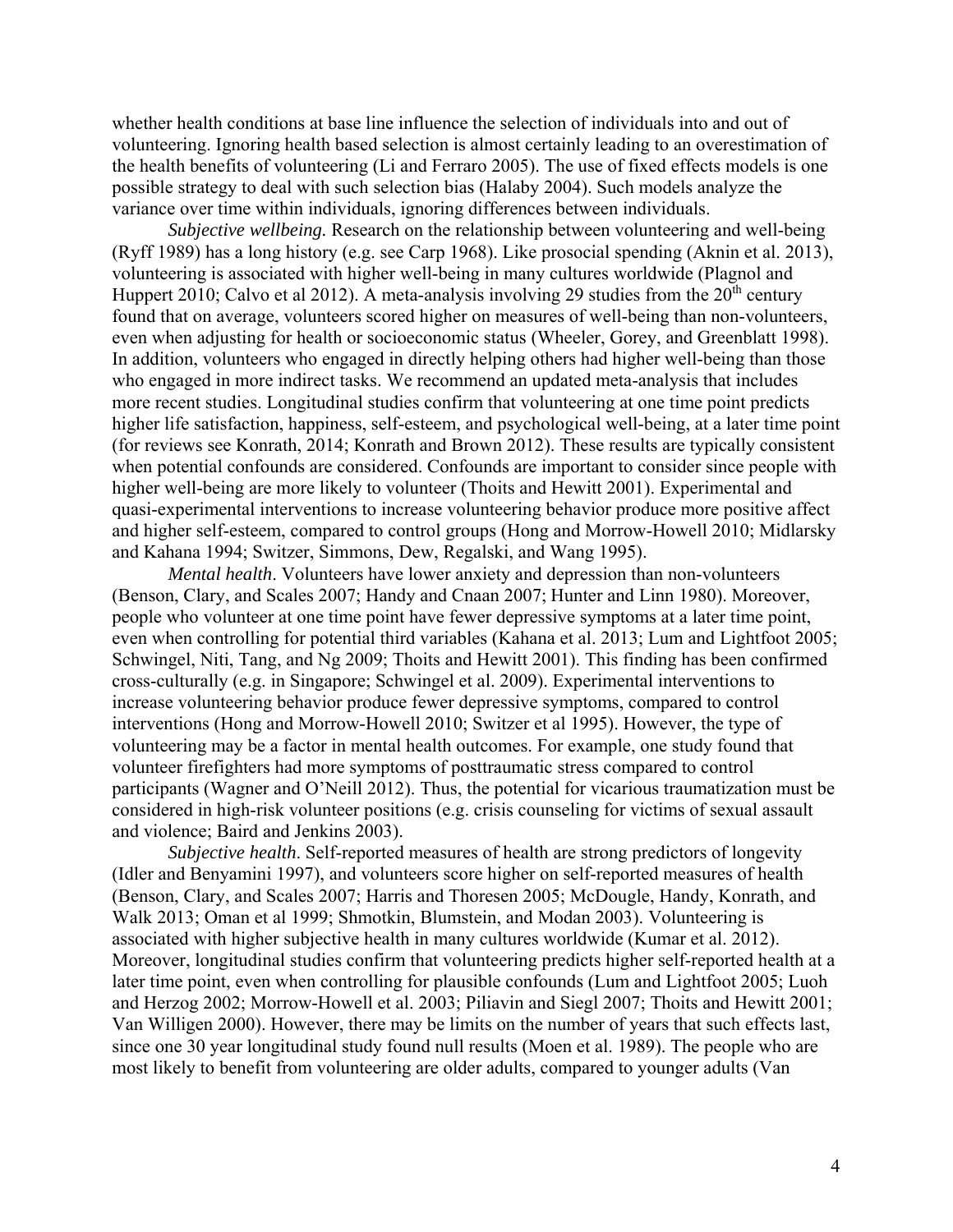whether health conditions at base line influence the selection of individuals into and out of volunteering. Ignoring health based selection is almost certainly leading to an overestimation of the health benefits of volunteering (Li and Ferraro 2005). The use of fixed effects models is one possible strategy to deal with such selection bias (Halaby 2004). Such models analyze the variance over time within individuals, ignoring differences between individuals.

*Subjective wellbeing.* Research on the relationship between volunteering and well-being (Ryff 1989) has a long history (e.g. see Carp 1968). Like prosocial spending (Aknin et al. 2013), volunteering is associated with higher well-being in many cultures worldwide (Plagnol and Huppert 2010; Calvo et al 2012). A meta-analysis involving 29 studies from the  $20<sup>th</sup>$  century found that on average, volunteers scored higher on measures of well-being than non-volunteers, even when adjusting for health or socioeconomic status (Wheeler, Gorey, and Greenblatt 1998). In addition, volunteers who engaged in directly helping others had higher well-being than those who engaged in more indirect tasks. We recommend an updated meta-analysis that includes more recent studies. Longitudinal studies confirm that volunteering at one time point predicts higher life satisfaction, happiness, self-esteem, and psychological well-being, at a later time point (for reviews see Konrath, 2014; Konrath and Brown 2012). These results are typically consistent when potential confounds are considered. Confounds are important to consider since people with higher well-being are more likely to volunteer (Thoits and Hewitt 2001). Experimental and quasi-experimental interventions to increase volunteering behavior produce more positive affect and higher self-esteem, compared to control groups (Hong and Morrow-Howell 2010; Midlarsky and Kahana 1994; Switzer, Simmons, Dew, Regalski, and Wang 1995).

*Mental health*. Volunteers have lower anxiety and depression than non-volunteers (Benson, Clary, and Scales 2007; Handy and Cnaan 2007; Hunter and Linn 1980). Moreover, people who volunteer at one time point have fewer depressive symptoms at a later time point, even when controlling for potential third variables (Kahana et al. 2013; Lum and Lightfoot 2005; Schwingel, Niti, Tang, and Ng 2009; Thoits and Hewitt 2001). This finding has been confirmed cross-culturally (e.g. in Singapore; Schwingel et al. 2009). Experimental interventions to increase volunteering behavior produce fewer depressive symptoms, compared to control interventions (Hong and Morrow-Howell 2010; Switzer et al 1995). However, the type of volunteering may be a factor in mental health outcomes. For example, one study found that volunteer firefighters had more symptoms of posttraumatic stress compared to control participants (Wagner and O'Neill 2012). Thus, the potential for vicarious traumatization must be considered in high-risk volunteer positions (e.g. crisis counseling for victims of sexual assault and violence; Baird and Jenkins 2003).

*Subjective health*. Self-reported measures of health are strong predictors of longevity (Idler and Benyamini 1997), and volunteers score higher on self-reported measures of health (Benson, Clary, and Scales 2007; Harris and Thoresen 2005; McDougle, Handy, Konrath, and Walk 2013; Oman et al 1999; Shmotkin, Blumstein, and Modan 2003). Volunteering is associated with higher subjective health in many cultures worldwide (Kumar et al. 2012). Moreover, longitudinal studies confirm that volunteering predicts higher self-reported health at a later time point, even when controlling for plausible confounds (Lum and Lightfoot 2005; Luoh and Herzog 2002; Morrow-Howell et al. 2003; Piliavin and Siegl 2007; Thoits and Hewitt 2001; Van Willigen 2000). However, there may be limits on the number of years that such effects last, since one 30 year longitudinal study found null results (Moen et al. 1989). The people who are most likely to benefit from volunteering are older adults, compared to younger adults (Van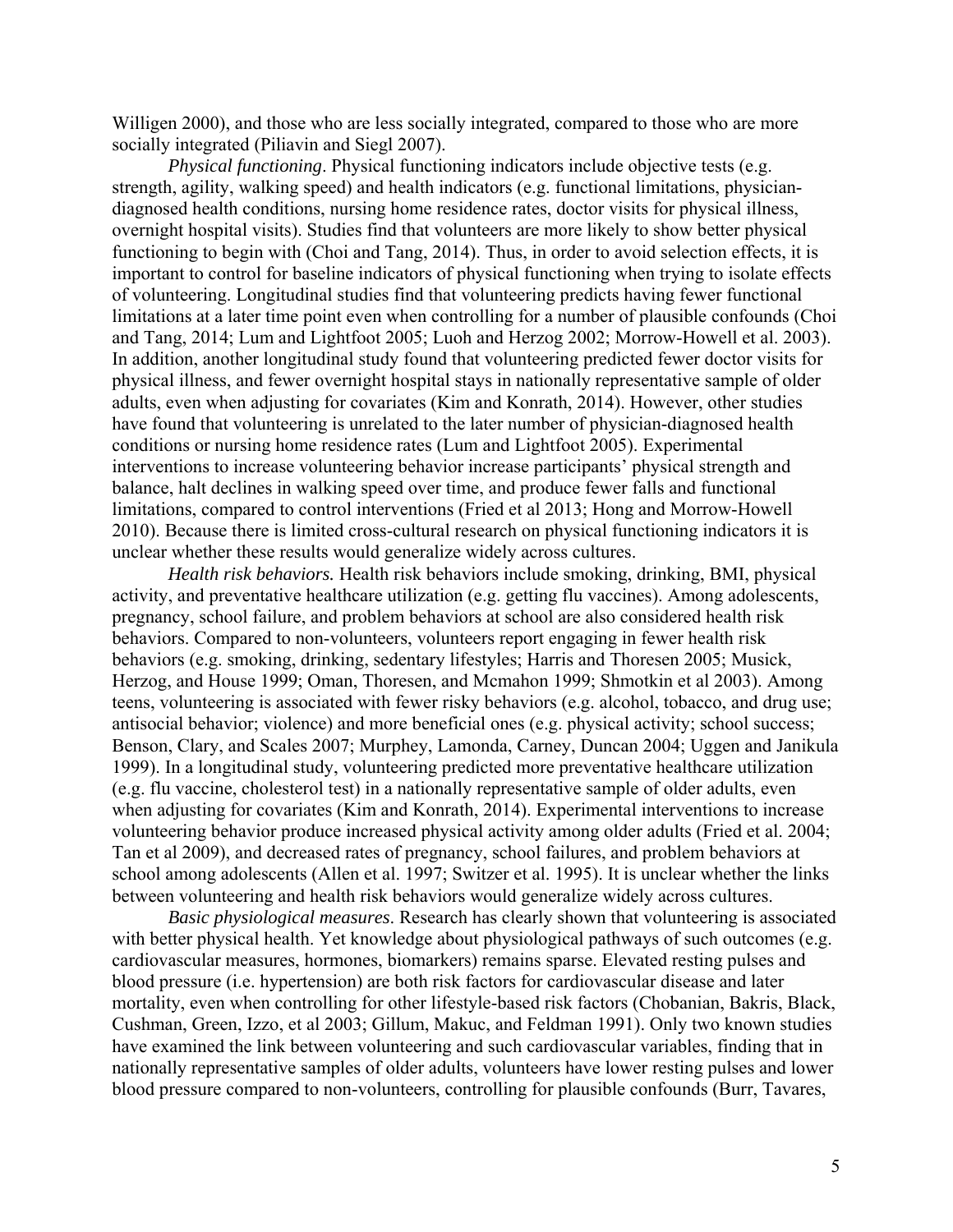Willigen 2000), and those who are less socially integrated, compared to those who are more socially integrated (Piliavin and Siegl 2007).

*Physical functioning*. Physical functioning indicators include objective tests (e.g. strength, agility, walking speed) and health indicators (e.g. functional limitations, physiciandiagnosed health conditions, nursing home residence rates, doctor visits for physical illness, overnight hospital visits). Studies find that volunteers are more likely to show better physical functioning to begin with (Choi and Tang, 2014). Thus, in order to avoid selection effects, it is important to control for baseline indicators of physical functioning when trying to isolate effects of volunteering. Longitudinal studies find that volunteering predicts having fewer functional limitations at a later time point even when controlling for a number of plausible confounds (Choi and Tang, 2014; Lum and Lightfoot 2005; Luoh and Herzog 2002; Morrow-Howell et al. 2003). In addition, another longitudinal study found that volunteering predicted fewer doctor visits for physical illness, and fewer overnight hospital stays in nationally representative sample of older adults, even when adjusting for covariates (Kim and Konrath, 2014). However, other studies have found that volunteering is unrelated to the later number of physician-diagnosed health conditions or nursing home residence rates (Lum and Lightfoot 2005). Experimental interventions to increase volunteering behavior increase participants' physical strength and balance, halt declines in walking speed over time, and produce fewer falls and functional limitations, compared to control interventions (Fried et al 2013; Hong and Morrow-Howell 2010). Because there is limited cross-cultural research on physical functioning indicators it is unclear whether these results would generalize widely across cultures.

*Health risk behaviors.* Health risk behaviors include smoking, drinking, BMI, physical activity, and preventative healthcare utilization (e.g. getting flu vaccines). Among adolescents, pregnancy, school failure, and problem behaviors at school are also considered health risk behaviors. Compared to non-volunteers, volunteers report engaging in fewer health risk behaviors (e.g. smoking, drinking, sedentary lifestyles; Harris and Thoresen 2005; Musick, Herzog, and House 1999; Oman, Thoresen, and Mcmahon 1999; Shmotkin et al 2003). Among teens, volunteering is associated with fewer risky behaviors (e.g. alcohol, tobacco, and drug use; antisocial behavior; violence) and more beneficial ones (e.g. physical activity; school success; Benson, Clary, and Scales 2007; Murphey, Lamonda, Carney, Duncan 2004; Uggen and Janikula 1999). In a longitudinal study, volunteering predicted more preventative healthcare utilization (e.g. flu vaccine, cholesterol test) in a nationally representative sample of older adults, even when adjusting for covariates (Kim and Konrath, 2014). Experimental interventions to increase volunteering behavior produce increased physical activity among older adults (Fried et al. 2004; Tan et al 2009), and decreased rates of pregnancy, school failures, and problem behaviors at school among adolescents (Allen et al. 1997; Switzer et al. 1995). It is unclear whether the links between volunteering and health risk behaviors would generalize widely across cultures.

*Basic physiological measures*. Research has clearly shown that volunteering is associated with better physical health. Yet knowledge about physiological pathways of such outcomes (e.g. cardiovascular measures, hormones, biomarkers) remains sparse. Elevated resting pulses and blood pressure (i.e. hypertension) are both risk factors for cardiovascular disease and later mortality, even when controlling for other lifestyle-based risk factors (Chobanian, Bakris, Black, Cushman, Green, Izzo, et al 2003; Gillum, Makuc, and Feldman 1991). Only two known studies have examined the link between volunteering and such cardiovascular variables, finding that in nationally representative samples of older adults, volunteers have lower resting pulses and lower blood pressure compared to non-volunteers, controlling for plausible confounds (Burr, Tavares,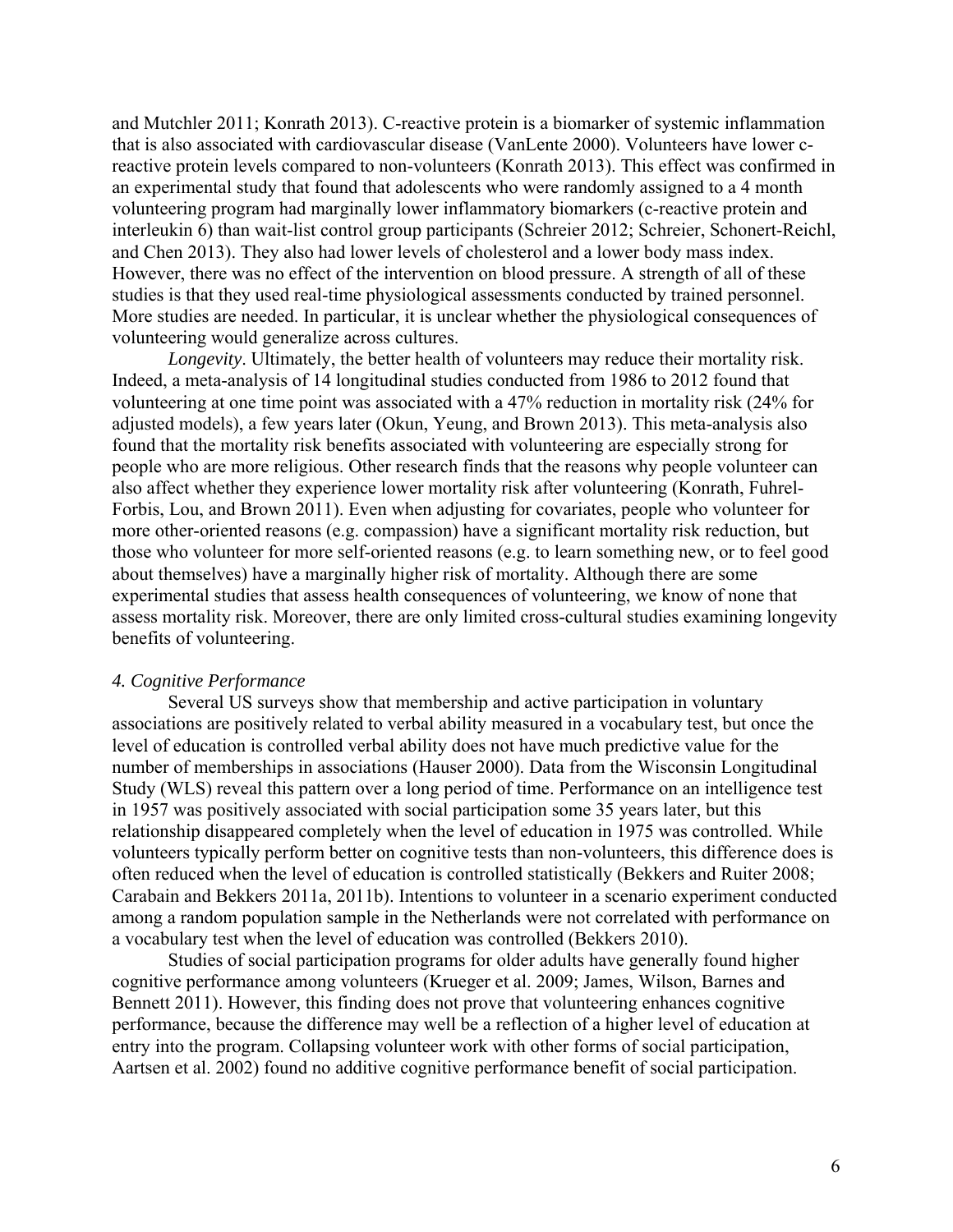and Mutchler 2011; Konrath 2013). C-reactive protein is a biomarker of systemic inflammation that is also associated with cardiovascular disease (VanLente 2000). Volunteers have lower creactive protein levels compared to non-volunteers (Konrath 2013). This effect was confirmed in an experimental study that found that adolescents who were randomly assigned to a 4 month volunteering program had marginally lower inflammatory biomarkers (c-reactive protein and interleukin 6) than wait-list control group participants (Schreier 2012; Schreier, Schonert-Reichl, and Chen 2013). They also had lower levels of cholesterol and a lower body mass index. However, there was no effect of the intervention on blood pressure. A strength of all of these studies is that they used real-time physiological assessments conducted by trained personnel. More studies are needed. In particular, it is unclear whether the physiological consequences of volunteering would generalize across cultures.

*Longevity*. Ultimately, the better health of volunteers may reduce their mortality risk. Indeed, a meta-analysis of 14 longitudinal studies conducted from 1986 to 2012 found that volunteering at one time point was associated with a 47% reduction in mortality risk (24% for adjusted models), a few years later (Okun, Yeung, and Brown 2013). This meta-analysis also found that the mortality risk benefits associated with volunteering are especially strong for people who are more religious. Other research finds that the reasons why people volunteer can also affect whether they experience lower mortality risk after volunteering (Konrath, Fuhrel-Forbis, Lou, and Brown 2011). Even when adjusting for covariates, people who volunteer for more other-oriented reasons (e.g. compassion) have a significant mortality risk reduction, but those who volunteer for more self-oriented reasons (e.g. to learn something new, or to feel good about themselves) have a marginally higher risk of mortality. Although there are some experimental studies that assess health consequences of volunteering, we know of none that assess mortality risk. Moreover, there are only limited cross-cultural studies examining longevity benefits of volunteering.

#### *4. Cognitive Performance*

Several US surveys show that membership and active participation in voluntary associations are positively related to verbal ability measured in a vocabulary test, but once the level of education is controlled verbal ability does not have much predictive value for the number of memberships in associations (Hauser 2000). Data from the Wisconsin Longitudinal Study (WLS) reveal this pattern over a long period of time. Performance on an intelligence test in 1957 was positively associated with social participation some 35 years later, but this relationship disappeared completely when the level of education in 1975 was controlled. While volunteers typically perform better on cognitive tests than non-volunteers, this difference does is often reduced when the level of education is controlled statistically (Bekkers and Ruiter 2008; Carabain and Bekkers 2011a, 2011b). Intentions to volunteer in a scenario experiment conducted among a random population sample in the Netherlands were not correlated with performance on a vocabulary test when the level of education was controlled (Bekkers 2010).

Studies of social participation programs for older adults have generally found higher cognitive performance among volunteers (Krueger et al. 2009; James, Wilson, Barnes and Bennett 2011). However, this finding does not prove that volunteering enhances cognitive performance, because the difference may well be a reflection of a higher level of education at entry into the program. Collapsing volunteer work with other forms of social participation, Aartsen et al. 2002) found no additive cognitive performance benefit of social participation.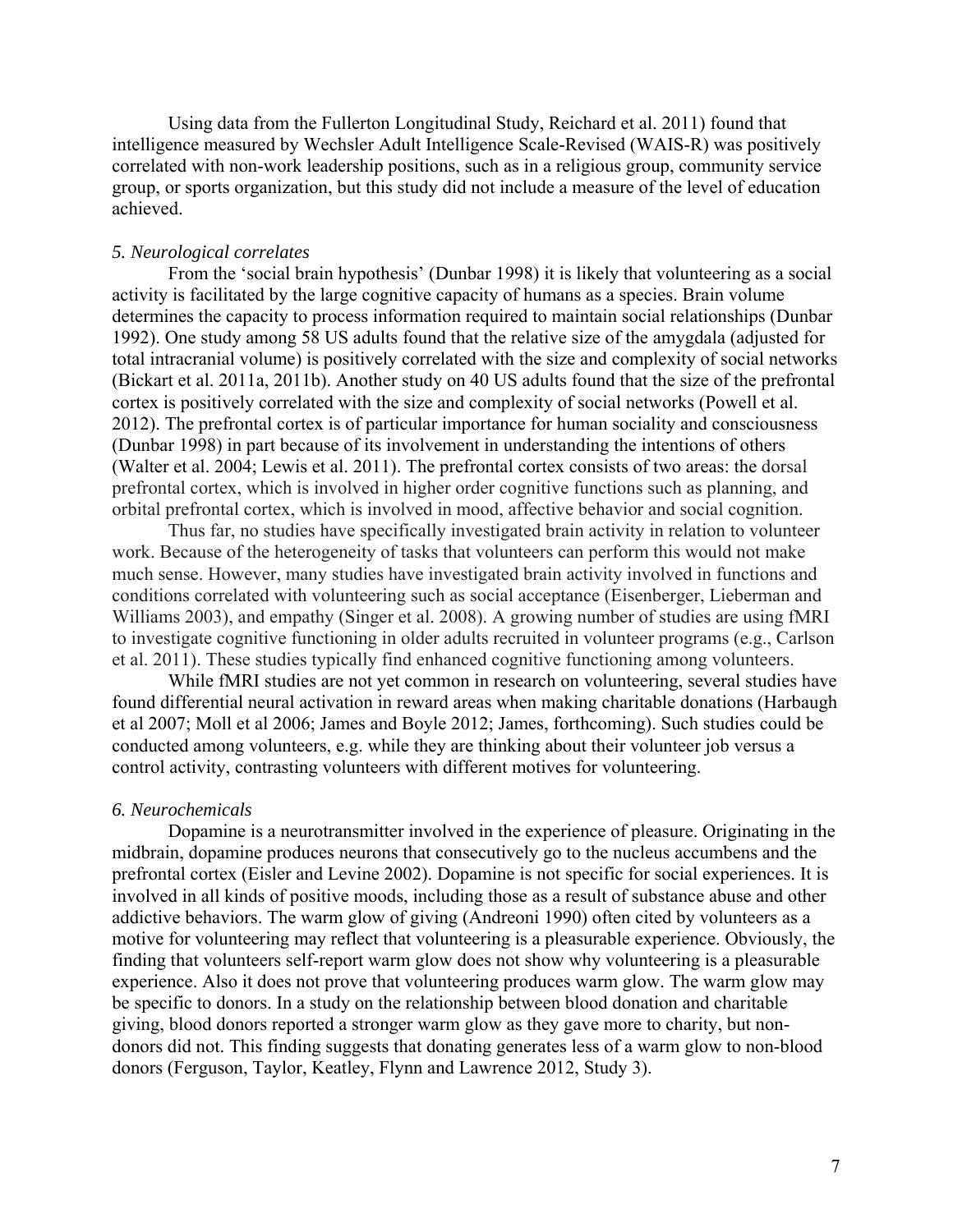Using data from the Fullerton Longitudinal Study, Reichard et al. 2011) found that intelligence measured by Wechsler Adult Intelligence Scale-Revised (WAIS-R) was positively correlated with non-work leadership positions, such as in a religious group, community service group, or sports organization, but this study did not include a measure of the level of education achieved.

#### *5. Neurological correlates*

From the 'social brain hypothesis' (Dunbar 1998) it is likely that volunteering as a social activity is facilitated by the large cognitive capacity of humans as a species. Brain volume determines the capacity to process information required to maintain social relationships (Dunbar 1992). One study among 58 US adults found that the relative size of the amygdala (adjusted for total intracranial volume) is positively correlated with the size and complexity of social networks (Bickart et al. 2011a, 2011b). Another study on 40 US adults found that the size of the prefrontal cortex is positively correlated with the size and complexity of social networks (Powell et al. 2012). The prefrontal cortex is of particular importance for human sociality and consciousness (Dunbar 1998) in part because of its involvement in understanding the intentions of others (Walter et al. 2004; Lewis et al. 2011). The prefrontal cortex consists of two areas: the dorsal prefrontal cortex, which is involved in higher order cognitive functions such as planning, and orbital prefrontal cortex, which is involved in mood, affective behavior and social cognition.

Thus far, no studies have specifically investigated brain activity in relation to volunteer work. Because of the heterogeneity of tasks that volunteers can perform this would not make much sense. However, many studies have investigated brain activity involved in functions and conditions correlated with volunteering such as social acceptance (Eisenberger, Lieberman and Williams 2003), and empathy (Singer et al. 2008). A growing number of studies are using fMRI to investigate cognitive functioning in older adults recruited in volunteer programs (e.g., Carlson et al. 2011). These studies typically find enhanced cognitive functioning among volunteers.

While fMRI studies are not yet common in research on volunteering, several studies have found differential neural activation in reward areas when making charitable donations (Harbaugh et al 2007; Moll et al 2006; James and Boyle 2012; James, forthcoming). Such studies could be conducted among volunteers, e.g. while they are thinking about their volunteer job versus a control activity, contrasting volunteers with different motives for volunteering.

#### *6. Neurochemicals*

Dopamine is a neurotransmitter involved in the experience of pleasure. Originating in the midbrain, dopamine produces neurons that consecutively go to the nucleus accumbens and the prefrontal cortex (Eisler and Levine 2002). Dopamine is not specific for social experiences. It is involved in all kinds of positive moods, including those as a result of substance abuse and other addictive behaviors. The warm glow of giving (Andreoni 1990) often cited by volunteers as a motive for volunteering may reflect that volunteering is a pleasurable experience. Obviously, the finding that volunteers self-report warm glow does not show why volunteering is a pleasurable experience. Also it does not prove that volunteering produces warm glow. The warm glow may be specific to donors. In a study on the relationship between blood donation and charitable giving, blood donors reported a stronger warm glow as they gave more to charity, but nondonors did not. This finding suggests that donating generates less of a warm glow to non-blood donors (Ferguson, Taylor, Keatley, Flynn and Lawrence 2012, Study 3).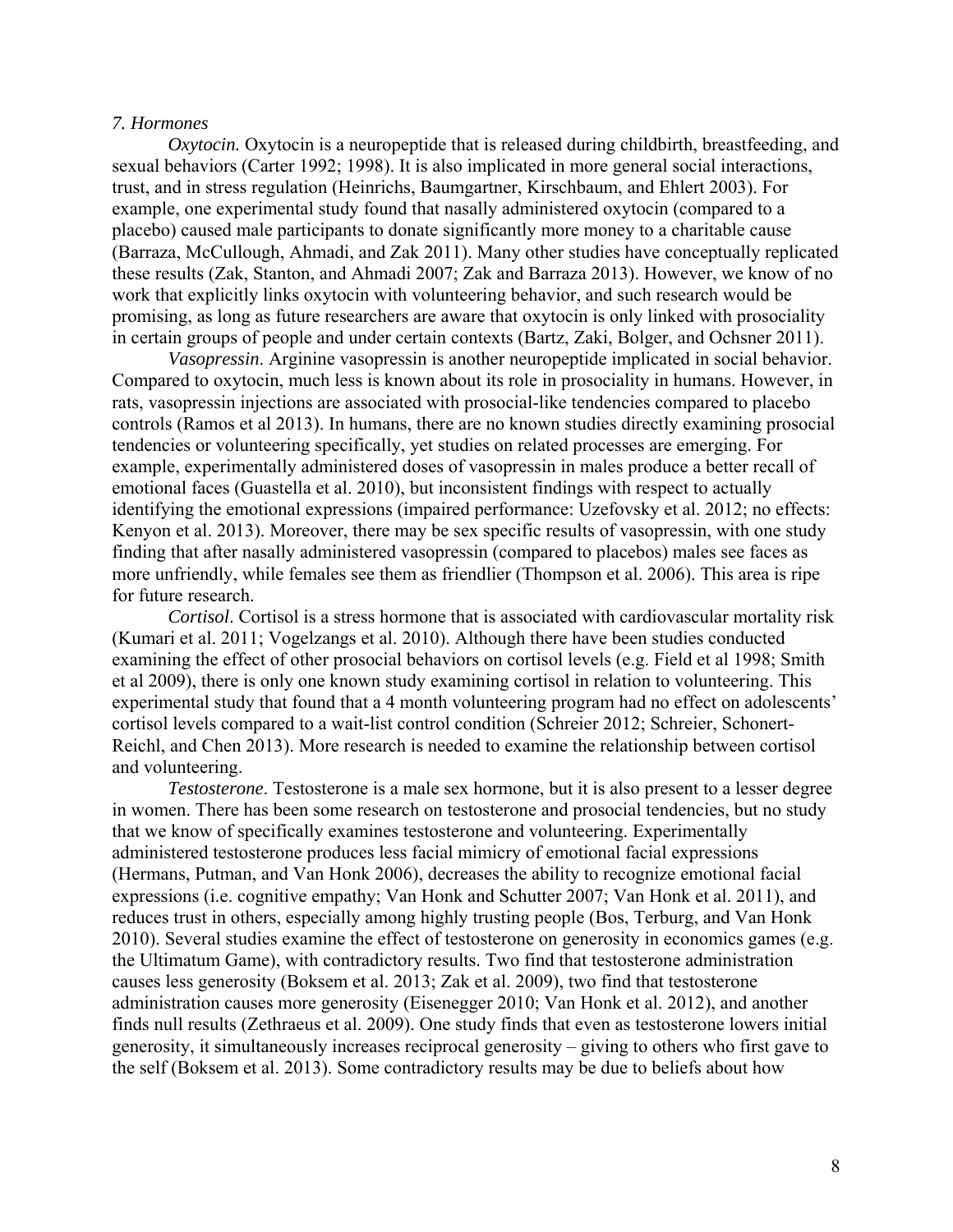## *7. Hormones*

*Oxytocin*. Oxytocin is a neuropeptide that is released during childbirth, breastfeeding, and sexual behaviors (Carter 1992; 1998). It is also implicated in more general social interactions, trust, and in stress regulation (Heinrichs, Baumgartner, Kirschbaum, and Ehlert 2003). For example, one experimental study found that nasally administered oxytocin (compared to a placebo) caused male participants to donate significantly more money to a charitable cause (Barraza, McCullough, Ahmadi, and Zak 2011). Many other studies have conceptually replicated these results (Zak, Stanton, and Ahmadi 2007; Zak and Barraza 2013). However, we know of no work that explicitly links oxytocin with volunteering behavior, and such research would be promising, as long as future researchers are aware that oxytocin is only linked with prosociality in certain groups of people and under certain contexts (Bartz, Zaki, Bolger, and Ochsner 2011).

*Vasopressin*. Arginine vasopressin is another neuropeptide implicated in social behavior. Compared to oxytocin, much less is known about its role in prosociality in humans. However, in rats, vasopressin injections are associated with prosocial-like tendencies compared to placebo controls (Ramos et al 2013). In humans, there are no known studies directly examining prosocial tendencies or volunteering specifically, yet studies on related processes are emerging. For example, experimentally administered doses of vasopressin in males produce a better recall of emotional faces (Guastella et al. 2010), but inconsistent findings with respect to actually identifying the emotional expressions (impaired performance: Uzefovsky et al. 2012; no effects: Kenyon et al. 2013). Moreover, there may be sex specific results of vasopressin, with one study finding that after nasally administered vasopressin (compared to placebos) males see faces as more unfriendly, while females see them as friendlier (Thompson et al. 2006). This area is ripe for future research.

*Cortisol*. Cortisol is a stress hormone that is associated with cardiovascular mortality risk (Kumari et al. 2011; Vogelzangs et al. 2010). Although there have been studies conducted examining the effect of other prosocial behaviors on cortisol levels (e.g. Field et al 1998; Smith et al 2009), there is only one known study examining cortisol in relation to volunteering. This experimental study that found that a 4 month volunteering program had no effect on adolescents' cortisol levels compared to a wait-list control condition (Schreier 2012; Schreier, Schonert-Reichl, and Chen 2013). More research is needed to examine the relationship between cortisol and volunteering.

*Testosterone*. Testosterone is a male sex hormone, but it is also present to a lesser degree in women. There has been some research on testosterone and prosocial tendencies, but no study that we know of specifically examines testosterone and volunteering. Experimentally administered testosterone produces less facial mimicry of emotional facial expressions (Hermans, Putman, and Van Honk 2006), decreases the ability to recognize emotional facial expressions (i.e. cognitive empathy; Van Honk and Schutter 2007; Van Honk et al. 2011), and reduces trust in others, especially among highly trusting people (Bos, Terburg, and Van Honk 2010). Several studies examine the effect of testosterone on generosity in economics games (e.g. the Ultimatum Game), with contradictory results. Two find that testosterone administration causes less generosity (Boksem et al. 2013; Zak et al. 2009), two find that testosterone administration causes more generosity (Eisenegger 2010; Van Honk et al. 2012), and another finds null results (Zethraeus et al. 2009). One study finds that even as testosterone lowers initial generosity, it simultaneously increases reciprocal generosity – giving to others who first gave to the self (Boksem et al. 2013). Some contradictory results may be due to beliefs about how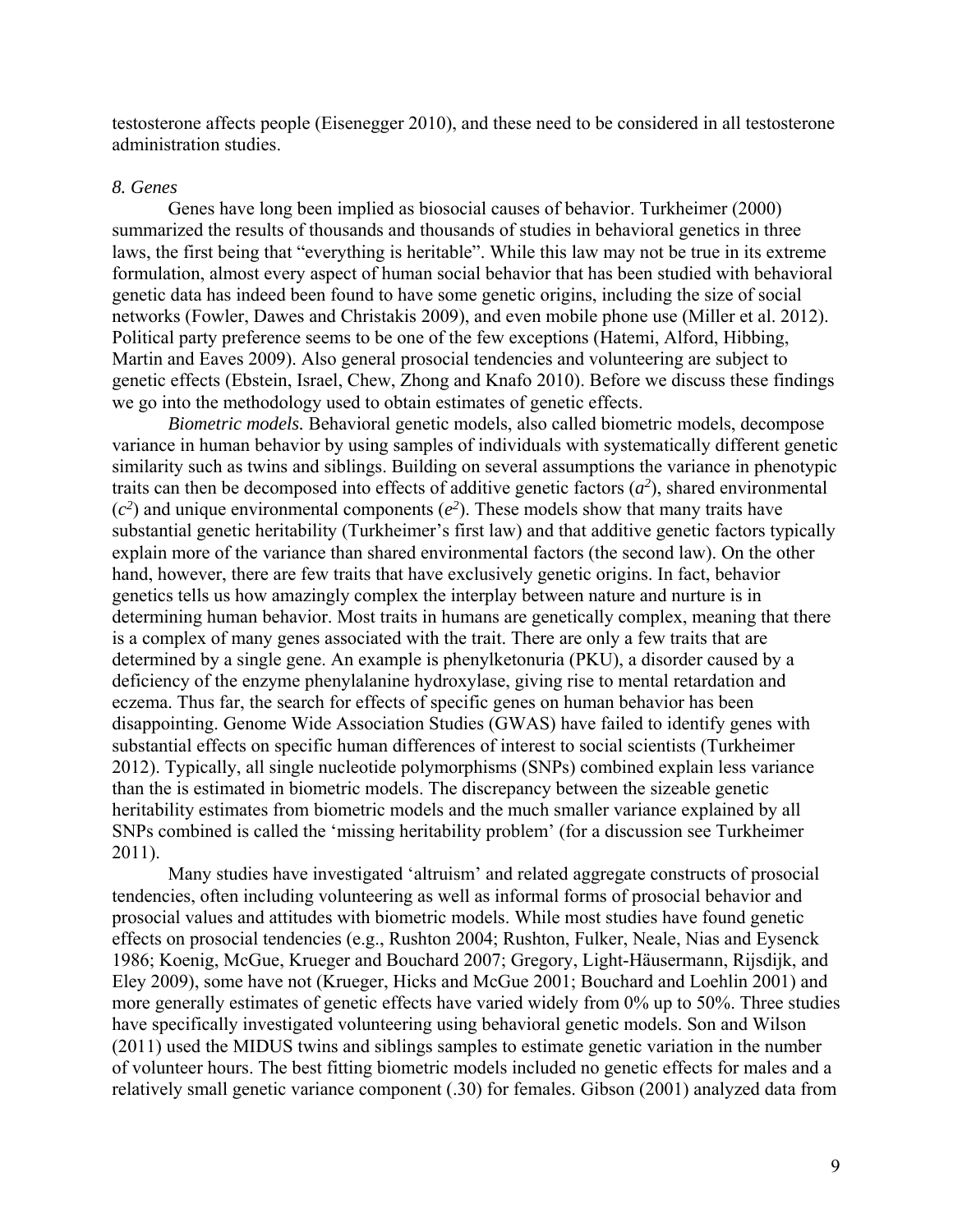testosterone affects people (Eisenegger 2010), and these need to be considered in all testosterone administration studies.

#### *8. Genes*

Genes have long been implied as biosocial causes of behavior. Turkheimer (2000) summarized the results of thousands and thousands of studies in behavioral genetics in three laws, the first being that "everything is heritable". While this law may not be true in its extreme formulation, almost every aspect of human social behavior that has been studied with behavioral genetic data has indeed been found to have some genetic origins, including the size of social networks (Fowler, Dawes and Christakis 2009), and even mobile phone use (Miller et al. 2012). Political party preference seems to be one of the few exceptions (Hatemi, Alford, Hibbing, Martin and Eaves 2009). Also general prosocial tendencies and volunteering are subject to genetic effects (Ebstein, Israel, Chew, Zhong and Knafo 2010). Before we discuss these findings we go into the methodology used to obtain estimates of genetic effects.

*Biometric models.* Behavioral genetic models, also called biometric models, decompose variance in human behavior by using samples of individuals with systematically different genetic similarity such as twins and siblings. Building on several assumptions the variance in phenotypic traits can then be decomposed into effects of additive genetic factors  $(a^2)$ , shared environmental  $(c<sup>2</sup>)$  and unique environmental components  $(e<sup>2</sup>)$ . These models show that many traits have substantial genetic heritability (Turkheimer's first law) and that additive genetic factors typically explain more of the variance than shared environmental factors (the second law). On the other hand, however, there are few traits that have exclusively genetic origins. In fact, behavior genetics tells us how amazingly complex the interplay between nature and nurture is in determining human behavior. Most traits in humans are genetically complex, meaning that there is a complex of many genes associated with the trait. There are only a few traits that are determined by a single gene. An example is phenylketonuria (PKU), a disorder caused by a deficiency of the enzyme phenylalanine hydroxylase, giving rise to mental retardation and eczema. Thus far, the search for effects of specific genes on human behavior has been disappointing. Genome Wide Association Studies (GWAS) have failed to identify genes with substantial effects on specific human differences of interest to social scientists (Turkheimer 2012). Typically, all single nucleotide polymorphisms (SNPs) combined explain less variance than the is estimated in biometric models. The discrepancy between the sizeable genetic heritability estimates from biometric models and the much smaller variance explained by all SNPs combined is called the 'missing heritability problem' (for a discussion see Turkheimer 2011).

Many studies have investigated 'altruism' and related aggregate constructs of prosocial tendencies, often including volunteering as well as informal forms of prosocial behavior and prosocial values and attitudes with biometric models. While most studies have found genetic effects on prosocial tendencies (e.g., Rushton 2004; Rushton, Fulker, Neale, Nias and Eysenck 1986; Koenig, McGue, Krueger and Bouchard 2007; Gregory, Light-Häusermann, Rijsdijk, and Eley 2009), some have not (Krueger, Hicks and McGue 2001; Bouchard and Loehlin 2001) and more generally estimates of genetic effects have varied widely from 0% up to 50%. Three studies have specifically investigated volunteering using behavioral genetic models. Son and Wilson (2011) used the MIDUS twins and siblings samples to estimate genetic variation in the number of volunteer hours. The best fitting biometric models included no genetic effects for males and a relatively small genetic variance component (.30) for females. Gibson (2001) analyzed data from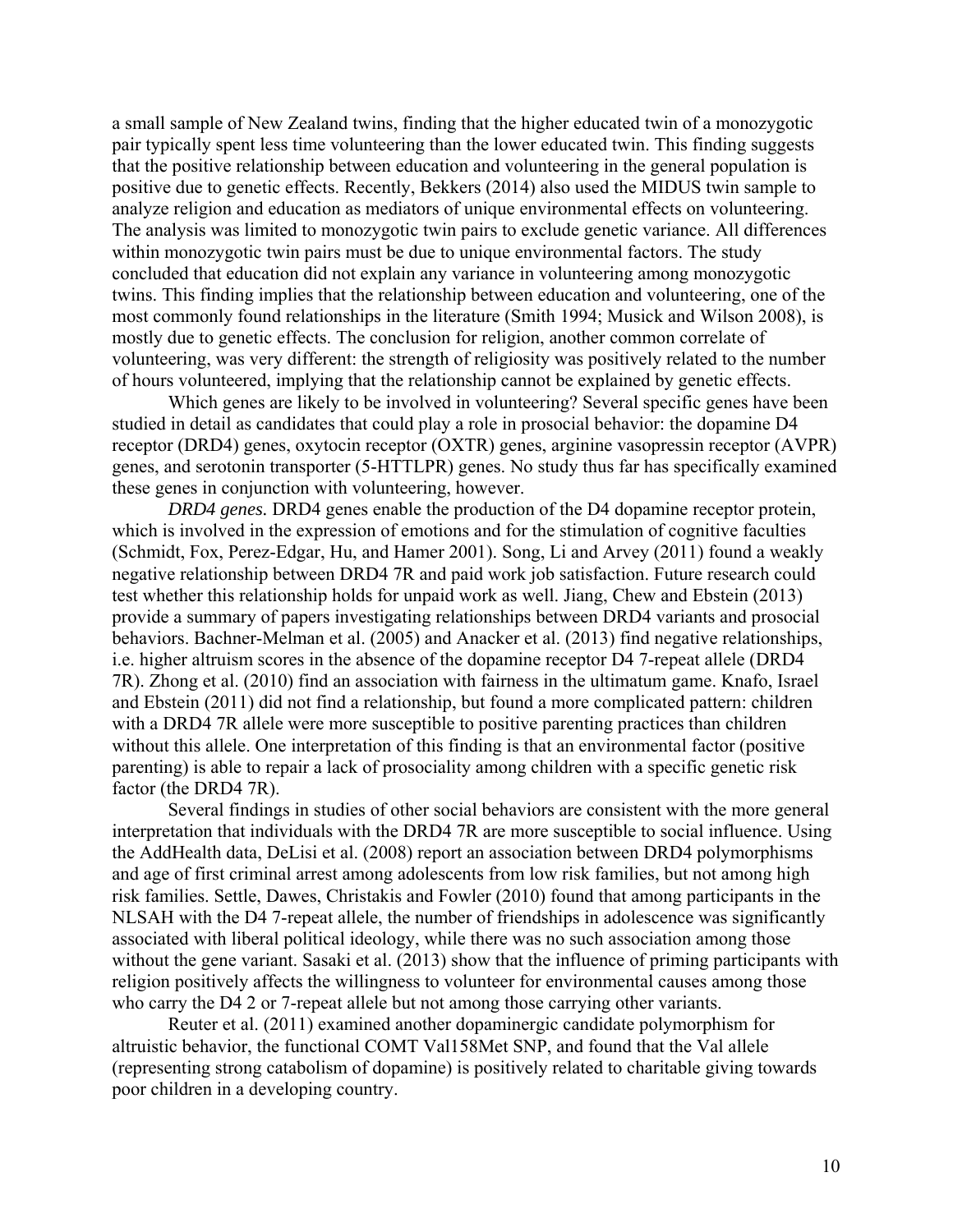a small sample of New Zealand twins, finding that the higher educated twin of a monozygotic pair typically spent less time volunteering than the lower educated twin. This finding suggests that the positive relationship between education and volunteering in the general population is positive due to genetic effects. Recently, Bekkers (2014) also used the MIDUS twin sample to analyze religion and education as mediators of unique environmental effects on volunteering. The analysis was limited to monozygotic twin pairs to exclude genetic variance. All differences within monozygotic twin pairs must be due to unique environmental factors. The study concluded that education did not explain any variance in volunteering among monozygotic twins. This finding implies that the relationship between education and volunteering, one of the most commonly found relationships in the literature (Smith 1994; Musick and Wilson 2008), is mostly due to genetic effects. The conclusion for religion, another common correlate of volunteering, was very different: the strength of religiosity was positively related to the number of hours volunteered, implying that the relationship cannot be explained by genetic effects.

Which genes are likely to be involved in volunteering? Several specific genes have been studied in detail as candidates that could play a role in prosocial behavior: the dopamine D4 receptor (DRD4) genes, oxytocin receptor (OXTR) genes, arginine vasopressin receptor (AVPR) genes, and serotonin transporter (5-HTTLPR) genes. No study thus far has specifically examined these genes in conjunction with volunteering, however.

*DRD4 genes.* DRD4 genes enable the production of the D4 dopamine receptor protein, which is involved in the expression of emotions and for the stimulation of cognitive faculties (Schmidt, Fox, Perez-Edgar, Hu, and Hamer 2001). Song, Li and Arvey (2011) found a weakly negative relationship between DRD4 7R and paid work job satisfaction. Future research could test whether this relationship holds for unpaid work as well. Jiang, Chew and Ebstein (2013) provide a summary of papers investigating relationships between DRD4 variants and prosocial behaviors. Bachner-Melman et al. (2005) and Anacker et al. (2013) find negative relationships, i.e. higher altruism scores in the absence of the dopamine receptor D4 7-repeat allele (DRD4 7R). Zhong et al. (2010) find an association with fairness in the ultimatum game. Knafo, Israel and Ebstein (2011) did not find a relationship, but found a more complicated pattern: children with a DRD4 7R allele were more susceptible to positive parenting practices than children without this allele. One interpretation of this finding is that an environmental factor (positive parenting) is able to repair a lack of prosociality among children with a specific genetic risk factor (the DRD4 7R).

Several findings in studies of other social behaviors are consistent with the more general interpretation that individuals with the DRD4 7R are more susceptible to social influence. Using the AddHealth data, DeLisi et al. (2008) report an association between DRD4 polymorphisms and age of first criminal arrest among adolescents from low risk families, but not among high risk families. Settle, Dawes, Christakis and Fowler (2010) found that among participants in the NLSAH with the D4 7-repeat allele, the number of friendships in adolescence was significantly associated with liberal political ideology, while there was no such association among those without the gene variant. Sasaki et al. (2013) show that the influence of priming participants with religion positively affects the willingness to volunteer for environmental causes among those who carry the D4 2 or 7-repeat allele but not among those carrying other variants.

Reuter et al. (2011) examined another dopaminergic candidate polymorphism for altruistic behavior, the functional COMT Val158Met SNP, and found that the Val allele (representing strong catabolism of dopamine) is positively related to charitable giving towards poor children in a developing country.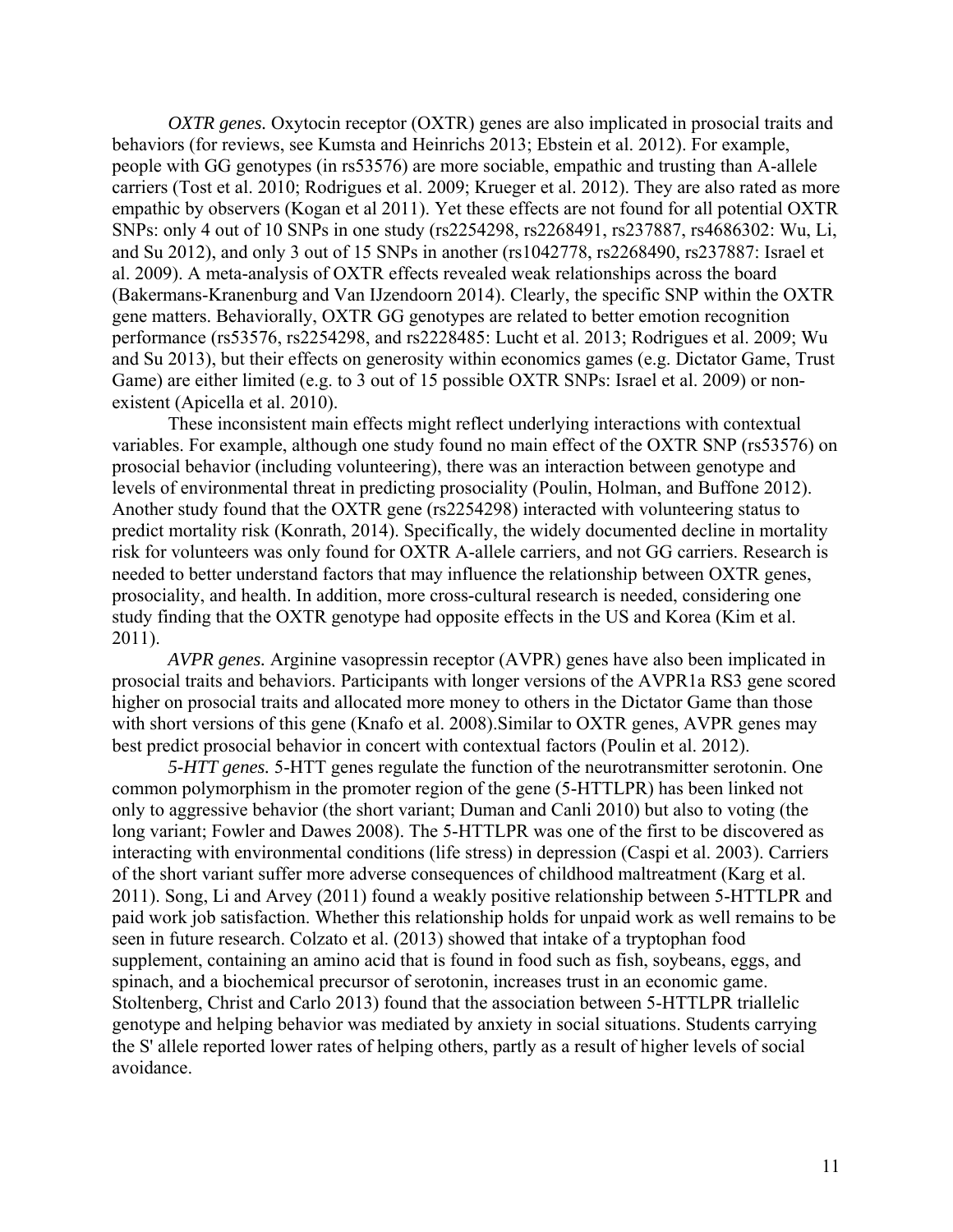*OXTR genes.* Oxytocin receptor (OXTR) genes are also implicated in prosocial traits and behaviors (for reviews, see Kumsta and Heinrichs 2013; Ebstein et al. 2012). For example, people with GG genotypes (in rs53576) are more sociable, empathic and trusting than A-allele carriers (Tost et al. 2010; Rodrigues et al. 2009; Krueger et al. 2012). They are also rated as more empathic by observers (Kogan et al 2011). Yet these effects are not found for all potential OXTR SNPs: only 4 out of 10 SNPs in one study (rs2254298, rs2268491, rs237887, rs4686302: Wu, Li, and Su 2012), and only 3 out of 15 SNPs in another (rs1042778, rs2268490, rs237887: Israel et al. 2009). A meta-analysis of OXTR effects revealed weak relationships across the board (Bakermans-Kranenburg and Van IJzendoorn 2014). Clearly, the specific SNP within the OXTR gene matters. Behaviorally, OXTR GG genotypes are related to better emotion recognition performance (rs53576, rs2254298, and rs2228485: Lucht et al. 2013; Rodrigues et al. 2009; Wu and Su 2013), but their effects on generosity within economics games (e.g. Dictator Game, Trust Game) are either limited (e.g. to 3 out of 15 possible OXTR SNPs: Israel et al. 2009) or nonexistent (Apicella et al. 2010).

These inconsistent main effects might reflect underlying interactions with contextual variables. For example, although one study found no main effect of the OXTR SNP (rs53576) on prosocial behavior (including volunteering), there was an interaction between genotype and levels of environmental threat in predicting prosociality (Poulin, Holman, and Buffone 2012). Another study found that the OXTR gene (rs2254298) interacted with volunteering status to predict mortality risk (Konrath, 2014). Specifically, the widely documented decline in mortality risk for volunteers was only found for OXTR A-allele carriers, and not GG carriers. Research is needed to better understand factors that may influence the relationship between OXTR genes, prosociality, and health. In addition, more cross-cultural research is needed, considering one study finding that the OXTR genotype had opposite effects in the US and Korea (Kim et al. 2011).

*AVPR genes.* Arginine vasopressin receptor (AVPR) genes have also been implicated in prosocial traits and behaviors. Participants with longer versions of the AVPR1a RS3 gene scored higher on prosocial traits and allocated more money to others in the Dictator Game than those with short versions of this gene (Knafo et al. 2008). Similar to OXTR genes, AVPR genes may best predict prosocial behavior in concert with contextual factors (Poulin et al. 2012).

*5-HTT genes.* 5-HTT genes regulate the function of the neurotransmitter serotonin. One common polymorphism in the promoter region of the gene (5-HTTLPR) has been linked not only to aggressive behavior (the short variant; Duman and Canli 2010) but also to voting (the long variant; Fowler and Dawes 2008). The 5-HTTLPR was one of the first to be discovered as interacting with environmental conditions (life stress) in depression (Caspi et al. 2003). Carriers of the short variant suffer more adverse consequences of childhood maltreatment (Karg et al. 2011). Song, Li and Arvey (2011) found a weakly positive relationship between 5-HTTLPR and paid work job satisfaction. Whether this relationship holds for unpaid work as well remains to be seen in future research. Colzato et al. (2013) showed that intake of a tryptophan food supplement, containing an amino acid that is found in food such as fish, soybeans, eggs, and spinach, and a biochemical precursor of serotonin, increases trust in an economic game. Stoltenberg, Christ and Carlo 2013) found that the association between 5-HTTLPR triallelic genotype and helping behavior was mediated by anxiety in social situations. Students carrying the S' allele reported lower rates of helping others, partly as a result of higher levels of social avoidance.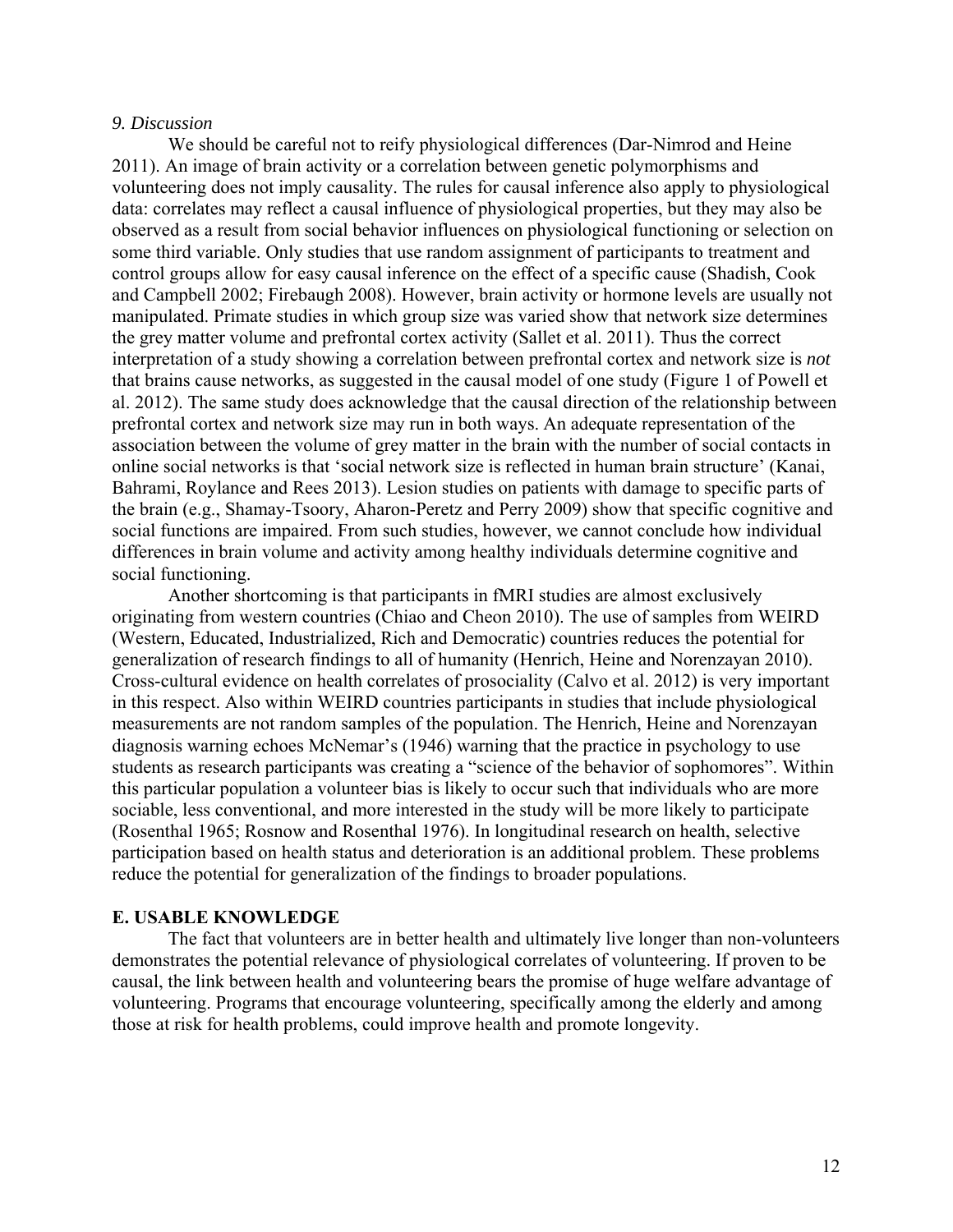#### *9. Discussion*

We should be careful not to reify physiological differences (Dar-Nimrod and Heine 2011). An image of brain activity or a correlation between genetic polymorphisms and volunteering does not imply causality. The rules for causal inference also apply to physiological data: correlates may reflect a causal influence of physiological properties, but they may also be observed as a result from social behavior influences on physiological functioning or selection on some third variable. Only studies that use random assignment of participants to treatment and control groups allow for easy causal inference on the effect of a specific cause (Shadish, Cook and Campbell 2002; Firebaugh 2008). However, brain activity or hormone levels are usually not manipulated. Primate studies in which group size was varied show that network size determines the grey matter volume and prefrontal cortex activity (Sallet et al. 2011). Thus the correct interpretation of a study showing a correlation between prefrontal cortex and network size is *not*  that brains cause networks, as suggested in the causal model of one study (Figure 1 of Powell et al. 2012). The same study does acknowledge that the causal direction of the relationship between prefrontal cortex and network size may run in both ways. An adequate representation of the association between the volume of grey matter in the brain with the number of social contacts in online social networks is that 'social network size is reflected in human brain structure' (Kanai, Bahrami, Roylance and Rees 2013). Lesion studies on patients with damage to specific parts of the brain (e.g., Shamay-Tsoory, Aharon-Peretz and Perry 2009) show that specific cognitive and social functions are impaired. From such studies, however, we cannot conclude how individual differences in brain volume and activity among healthy individuals determine cognitive and social functioning.

Another shortcoming is that participants in fMRI studies are almost exclusively originating from western countries (Chiao and Cheon 2010). The use of samples from WEIRD (Western, Educated, Industrialized, Rich and Democratic) countries reduces the potential for generalization of research findings to all of humanity (Henrich, Heine and Norenzayan 2010). Cross-cultural evidence on health correlates of prosociality (Calvo et al. 2012) is very important in this respect. Also within WEIRD countries participants in studies that include physiological measurements are not random samples of the population. The Henrich, Heine and Norenzayan diagnosis warning echoes McNemar's (1946) warning that the practice in psychology to use students as research participants was creating a "science of the behavior of sophomores". Within this particular population a volunteer bias is likely to occur such that individuals who are more sociable, less conventional, and more interested in the study will be more likely to participate (Rosenthal 1965; Rosnow and Rosenthal 1976). In longitudinal research on health, selective participation based on health status and deterioration is an additional problem. These problems reduce the potential for generalization of the findings to broader populations.

## **E. USABLE KNOWLEDGE**

The fact that volunteers are in better health and ultimately live longer than non-volunteers demonstrates the potential relevance of physiological correlates of volunteering. If proven to be causal, the link between health and volunteering bears the promise of huge welfare advantage of volunteering. Programs that encourage volunteering, specifically among the elderly and among those at risk for health problems, could improve health and promote longevity.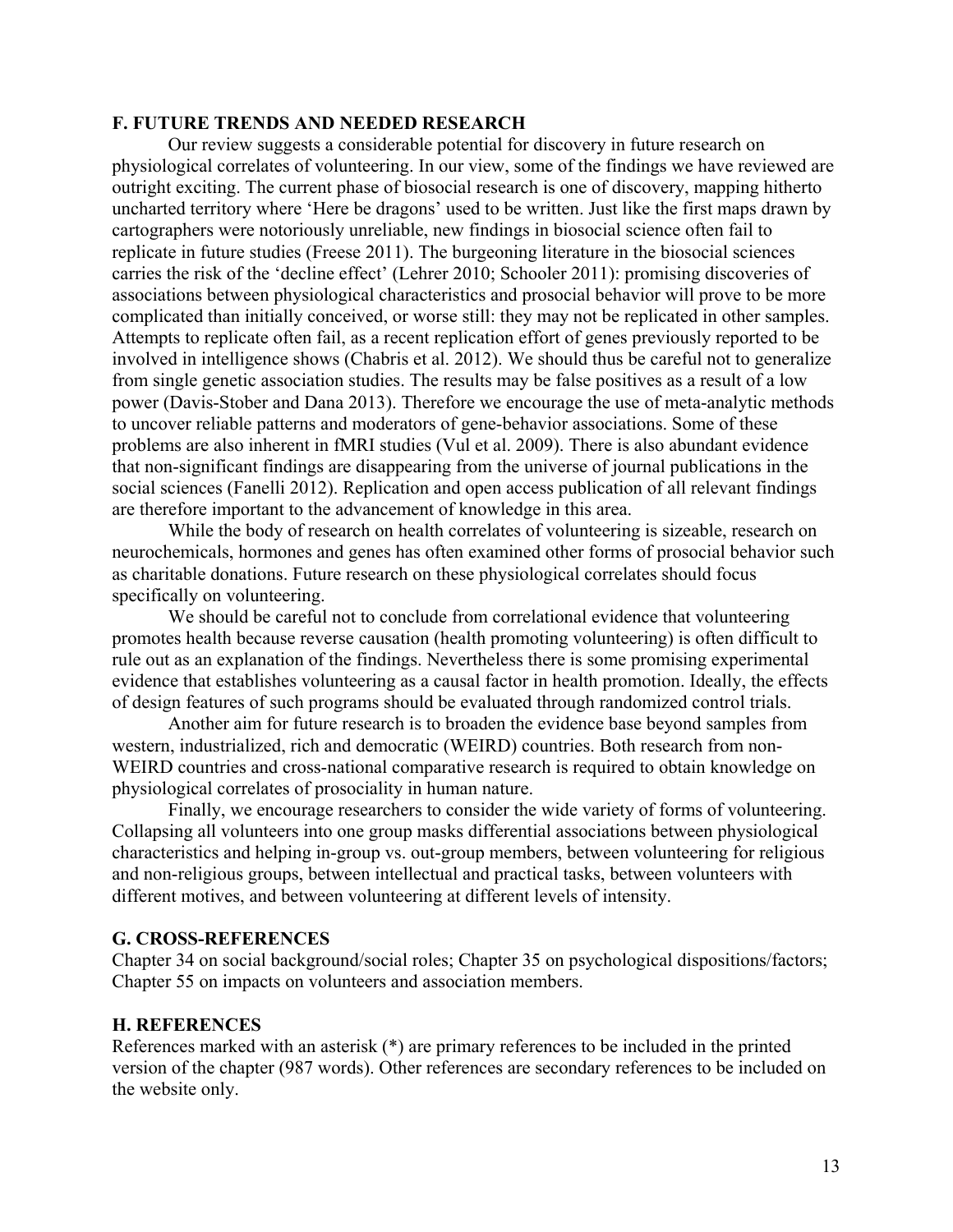### **F. FUTURE TRENDS AND NEEDED RESEARCH**

Our review suggests a considerable potential for discovery in future research on physiological correlates of volunteering. In our view, some of the findings we have reviewed are outright exciting. The current phase of biosocial research is one of discovery, mapping hitherto uncharted territory where 'Here be dragons' used to be written. Just like the first maps drawn by cartographers were notoriously unreliable, new findings in biosocial science often fail to replicate in future studies (Freese 2011). The burgeoning literature in the biosocial sciences carries the risk of the 'decline effect' (Lehrer 2010; Schooler 2011): promising discoveries of associations between physiological characteristics and prosocial behavior will prove to be more complicated than initially conceived, or worse still: they may not be replicated in other samples. Attempts to replicate often fail, as a recent replication effort of genes previously reported to be involved in intelligence shows (Chabris et al. 2012). We should thus be careful not to generalize from single genetic association studies. The results may be false positives as a result of a low power (Davis-Stober and Dana 2013). Therefore we encourage the use of meta-analytic methods to uncover reliable patterns and moderators of gene-behavior associations. Some of these problems are also inherent in fMRI studies (Vul et al. 2009). There is also abundant evidence that non-significant findings are disappearing from the universe of journal publications in the social sciences (Fanelli 2012). Replication and open access publication of all relevant findings are therefore important to the advancement of knowledge in this area.

While the body of research on health correlates of volunteering is sizeable, research on neurochemicals, hormones and genes has often examined other forms of prosocial behavior such as charitable donations. Future research on these physiological correlates should focus specifically on volunteering.

We should be careful not to conclude from correlational evidence that volunteering promotes health because reverse causation (health promoting volunteering) is often difficult to rule out as an explanation of the findings. Nevertheless there is some promising experimental evidence that establishes volunteering as a causal factor in health promotion. Ideally, the effects of design features of such programs should be evaluated through randomized control trials.

Another aim for future research is to broaden the evidence base beyond samples from western, industrialized, rich and democratic (WEIRD) countries. Both research from non-WEIRD countries and cross-national comparative research is required to obtain knowledge on physiological correlates of prosociality in human nature.

Finally, we encourage researchers to consider the wide variety of forms of volunteering. Collapsing all volunteers into one group masks differential associations between physiological characteristics and helping in-group vs. out-group members, between volunteering for religious and non-religious groups, between intellectual and practical tasks, between volunteers with different motives, and between volunteering at different levels of intensity.

#### **G. CROSS-REFERENCES**

Chapter 34 on social background/social roles; Chapter 35 on psychological dispositions/factors; Chapter 55 on impacts on volunteers and association members.

#### **H. REFERENCES**

References marked with an asterisk (\*) are primary references to be included in the printed version of the chapter (987 words). Other references are secondary references to be included on the website only.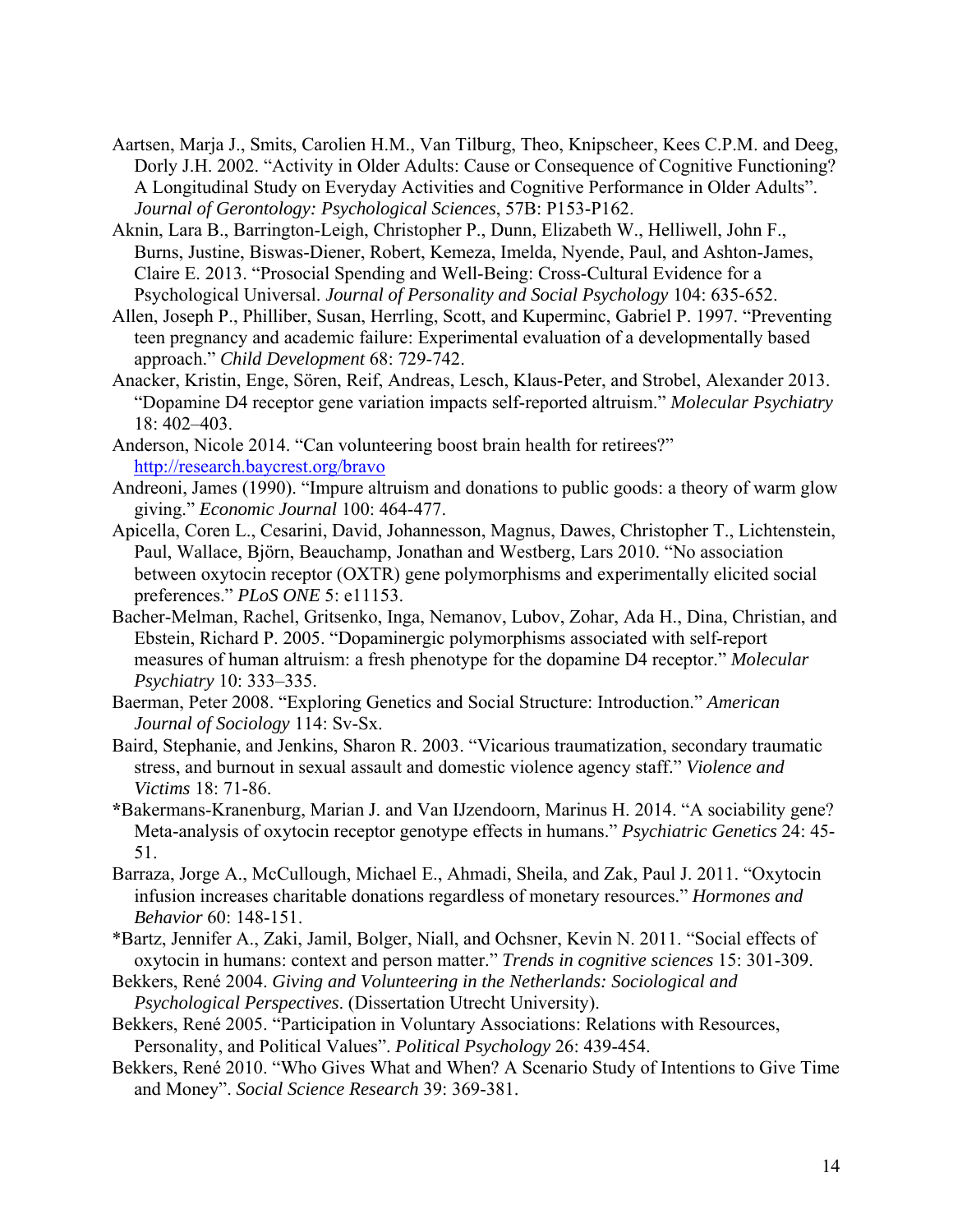- Aartsen, Marja J., Smits, Carolien H.M., Van Tilburg, Theo, Knipscheer, Kees C.P.M. and Deeg, Dorly J.H. 2002. "Activity in Older Adults: Cause or Consequence of Cognitive Functioning? A Longitudinal Study on Everyday Activities and Cognitive Performance in Older Adults". *Journal of Gerontology: Psychological Sciences*, 57B: P153-P162.
- Aknin, Lara B., Barrington-Leigh, Christopher P., Dunn, Elizabeth W., Helliwell, John F., Burns, Justine, Biswas-Diener, Robert, Kemeza, Imelda, Nyende, Paul, and Ashton-James, Claire E. 2013. "Prosocial Spending and Well-Being: Cross-Cultural Evidence for a Psychological Universal. *Journal of Personality and Social Psychology* 104: 635-652.
- Allen, Joseph P., Philliber, Susan, Herrling, Scott, and Kuperminc, Gabriel P. 1997. "Preventing teen pregnancy and academic failure: Experimental evaluation of a developmentally based approach." *Child Development* 68: 729-742.
- Anacker, Kristin, Enge, Sören, Reif, Andreas, Lesch, Klaus-Peter, and Strobel, Alexander 2013. "Dopamine D4 receptor gene variation impacts self-reported altruism." *Molecular Psychiatry*  18: 402–403.
- Anderson, Nicole 2014. "Can volunteering boost brain health for retirees?" http://research.baycrest.org/bravo
- Andreoni, James (1990). "Impure altruism and donations to public goods: a theory of warm glow giving." *Economic Journal* 100: 464-477.
- Apicella, Coren L., Cesarini, David, Johannesson, Magnus, Dawes, Christopher T., Lichtenstein, Paul, Wallace, Björn, Beauchamp, Jonathan and Westberg, Lars 2010. "No association between oxytocin receptor (OXTR) gene polymorphisms and experimentally elicited social preferences." *PLoS ONE* 5: e11153.
- Bacher-Melman, Rachel, Gritsenko, Inga, Nemanov, Lubov, Zohar, Ada H., Dina, Christian, and Ebstein, Richard P. 2005. "Dopaminergic polymorphisms associated with self-report measures of human altruism: a fresh phenotype for the dopamine D4 receptor." *Molecular Psychiatry* 10: 333–335.
- Baerman, Peter 2008. "Exploring Genetics and Social Structure: Introduction." *American Journal of Sociology* 114: Sv-Sx.
- Baird, Stephanie, and Jenkins, Sharon R. 2003. "Vicarious traumatization, secondary traumatic stress, and burnout in sexual assault and domestic violence agency staff." *Violence and Victims* 18: 71-86.
- **\***Bakermans-Kranenburg, Marian J. and Van IJzendoorn, Marinus H. 2014. "A sociability gene? Meta-analysis of oxytocin receptor genotype effects in humans." *Psychiatric Genetics* 24: 45- 51.
- Barraza, Jorge A., McCullough, Michael E., Ahmadi, Sheila, and Zak, Paul J. 2011. "Oxytocin infusion increases charitable donations regardless of monetary resources." *Hormones and Behavior* 60: 148-151.
- \*Bartz, Jennifer A., Zaki, Jamil, Bolger, Niall, and Ochsner, Kevin N. 2011. "Social effects of oxytocin in humans: context and person matter." *Trends in cognitive sciences* 15: 301-309.
- Bekkers, René 2004. *Giving and Volunteering in the Netherlands: Sociological and Psychological Perspectives*. (Dissertation Utrecht University).
- Bekkers, René 2005. "Participation in Voluntary Associations: Relations with Resources, Personality, and Political Values". *Political Psychology* 26: 439-454.
- Bekkers, René 2010. "Who Gives What and When? A Scenario Study of Intentions to Give Time and Money". *Social Science Research* 39: 369-381.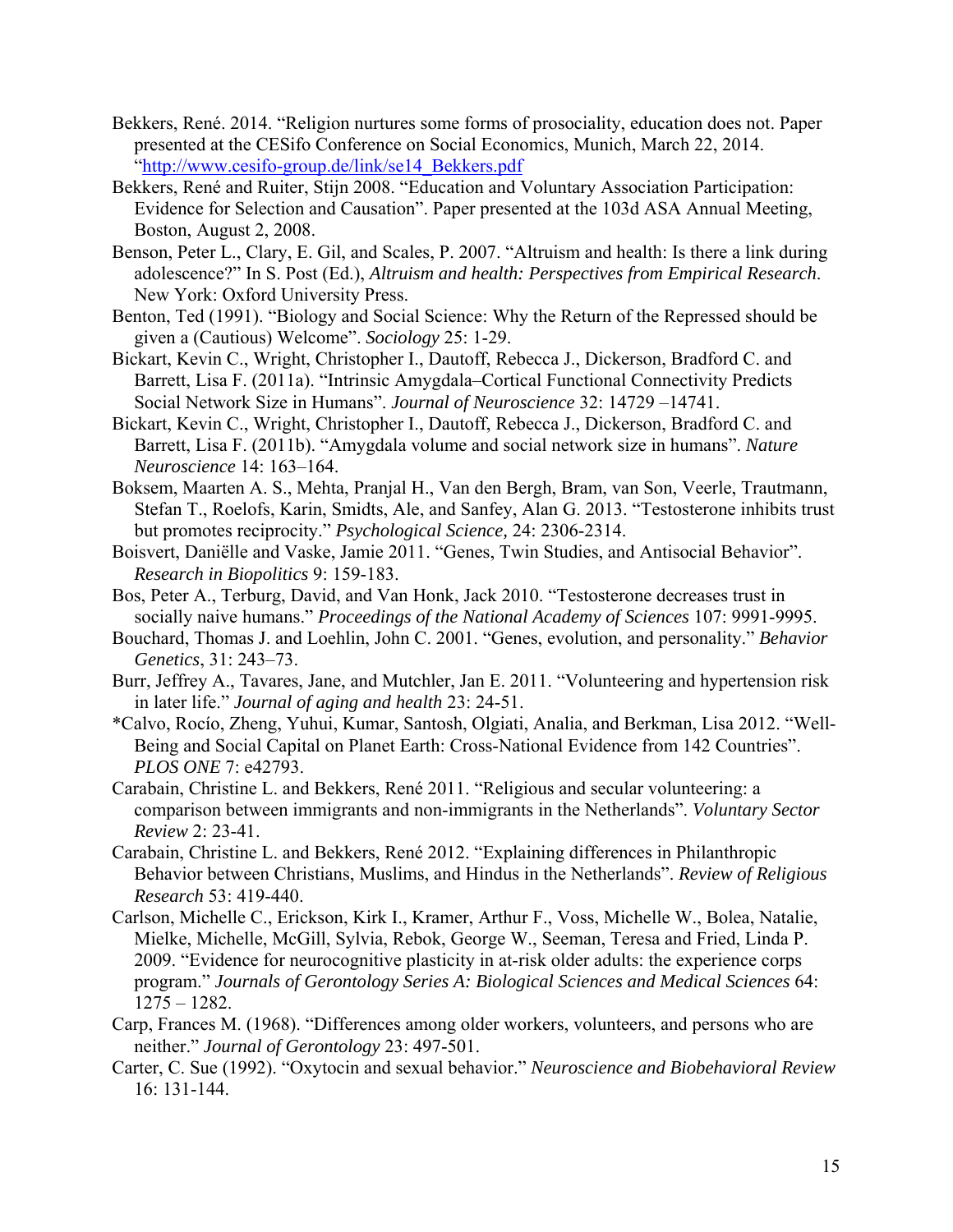- Bekkers, René. 2014. "Religion nurtures some forms of prosociality, education does not. Paper presented at the CESifo Conference on Social Economics, Munich, March 22, 2014. "http://www.cesifo-group.de/link/se14\_Bekkers.pdf
- Bekkers, René and Ruiter, Stijn 2008. "Education and Voluntary Association Participation: Evidence for Selection and Causation". Paper presented at the 103d ASA Annual Meeting, Boston, August 2, 2008.
- Benson, Peter L., Clary, E. Gil, and Scales, P. 2007. "Altruism and health: Is there a link during adolescence?" In S. Post (Ed.), *Altruism and health: Perspectives from Empirical Research*. New York: Oxford University Press.
- Benton, Ted (1991). "Biology and Social Science: Why the Return of the Repressed should be given a (Cautious) Welcome". *Sociology* 25: 1-29.
- Bickart, Kevin C., Wright, Christopher I., Dautoff, Rebecca J., Dickerson, Bradford C. and Barrett, Lisa F. (2011a). "Intrinsic Amygdala–Cortical Functional Connectivity Predicts Social Network Size in Humans". *Journal of Neuroscience* 32: 14729 –14741.
- Bickart, Kevin C., Wright, Christopher I., Dautoff, Rebecca J., Dickerson, Bradford C. and Barrett, Lisa F. (2011b). "Amygdala volume and social network size in humans". *Nature Neuroscience* 14: 163–164.
- Boksem, Maarten A. S., Mehta, Pranjal H., Van den Bergh, Bram, van Son, Veerle, Trautmann, Stefan T., Roelofs, Karin, Smidts, Ale, and Sanfey, Alan G. 2013. "Testosterone inhibits trust but promotes reciprocity." *Psychological Science,* 24: 2306-2314.
- Boisvert, Daniëlle and Vaske, Jamie 2011. "Genes, Twin Studies, and Antisocial Behavior". *Research in Biopolitics* 9: 159-183.
- Bos, Peter A., Terburg, David, and Van Honk, Jack 2010. "Testosterone decreases trust in socially naive humans." *Proceedings of the National Academy of Sciences* 107: 9991-9995.
- Bouchard, Thomas J. and Loehlin, John C. 2001. "Genes, evolution, and personality." *Behavior Genetics*, 31: 243–73.
- Burr, Jeffrey A., Tavares, Jane, and Mutchler, Jan E. 2011. "Volunteering and hypertension risk in later life." *Journal of aging and health* 23: 24-51.
- \*Calvo, Rocío, Zheng, Yuhui, Kumar, Santosh, Olgiati, Analia, and Berkman, Lisa 2012. "Well-Being and Social Capital on Planet Earth: Cross-National Evidence from 142 Countries". *PLOS ONE* 7: e42793.
- Carabain, Christine L. and Bekkers, René 2011. "Religious and secular volunteering: a comparison between immigrants and non-immigrants in the Netherlands". *Voluntary Sector Review* 2: 23-41.
- Carabain, Christine L. and Bekkers, René 2012. "Explaining differences in Philanthropic Behavior between Christians, Muslims, and Hindus in the Netherlands". *Review of Religious Research* 53: 419-440.
- Carlson, Michelle C., Erickson, Kirk I., Kramer, Arthur F., Voss, Michelle W., Bolea, Natalie, Mielke, Michelle, McGill, Sylvia, Rebok, George W., Seeman, Teresa and Fried, Linda P. 2009. "Evidence for neurocognitive plasticity in at-risk older adults: the experience corps program." *Journals of Gerontology Series A: Biological Sciences and Medical Sciences* 64: 1275 – 1282.
- Carp, Frances M. (1968). "Differences among older workers, volunteers, and persons who are neither." *Journal of Gerontology* 23: 497-501.
- Carter, C. Sue (1992). "Oxytocin and sexual behavior." *Neuroscience and Biobehavioral Review*  16: 131-144.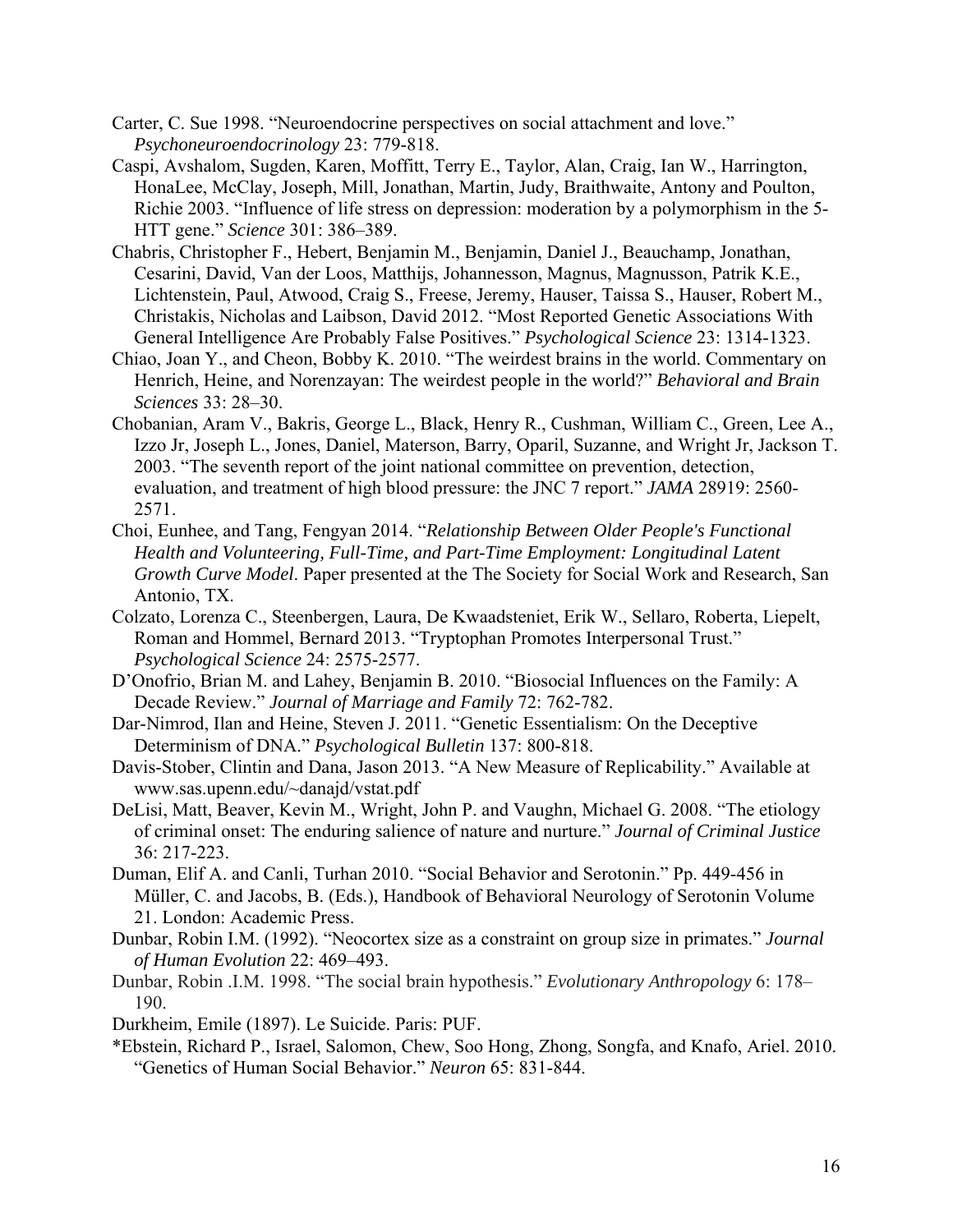- Carter, C. Sue 1998. "Neuroendocrine perspectives on social attachment and love." *Psychoneuroendocrinology* 23: 779-818.
- Caspi, Avshalom, Sugden, Karen, Moffitt, Terry E., Taylor, Alan, Craig, Ian W., Harrington, HonaLee, McClay, Joseph, Mill, Jonathan, Martin, Judy, Braithwaite, Antony and Poulton, Richie 2003. "Influence of life stress on depression: moderation by a polymorphism in the 5- HTT gene." *Science* 301: 386–389.
- Chabris, Christopher F., Hebert, Benjamin M., Benjamin, Daniel J., Beauchamp, Jonathan, Cesarini, David, Van der Loos, Matthijs, Johannesson, Magnus, Magnusson, Patrik K.E., Lichtenstein, Paul, Atwood, Craig S., Freese, Jeremy, Hauser, Taissa S., Hauser, Robert M., Christakis, Nicholas and Laibson, David 2012. "Most Reported Genetic Associations With General Intelligence Are Probably False Positives." *Psychological Science* 23: 1314-1323.
- Chiao, Joan Y., and Cheon, Bobby K. 2010. "The weirdest brains in the world. Commentary on Henrich, Heine, and Norenzayan: The weirdest people in the world?" *Behavioral and Brain Sciences* 33: 28–30.
- Chobanian, Aram V., Bakris, George L., Black, Henry R., Cushman, William C., Green, Lee A., Izzo Jr, Joseph L., Jones, Daniel, Materson, Barry, Oparil, Suzanne, and Wright Jr, Jackson T. 2003. "The seventh report of the joint national committee on prevention, detection, evaluation, and treatment of high blood pressure: the JNC 7 report." *JAMA* 28919: 2560- 2571.
- Choi, Eunhee, and Tang, Fengyan 2014. "*Relationship Between Older People's Functional Health and Volunteering, Full-Time, and Part-Time Employment: Longitudinal Latent Growth Curve Model*. Paper presented at the The Society for Social Work and Research, San Antonio, TX.
- Colzato, Lorenza C., Steenbergen, Laura, De Kwaadsteniet, Erik W., Sellaro, Roberta, Liepelt, Roman and Hommel, Bernard 2013. "Tryptophan Promotes Interpersonal Trust." *Psychological Science* 24: 2575-2577.
- D'Onofrio, Brian M. and Lahey, Benjamin B. 2010. "Biosocial Influences on the Family: A Decade Review." *Journal of Marriage and Family* 72: 762-782.
- Dar-Nimrod, Ilan and Heine, Steven J. 2011. "Genetic Essentialism: On the Deceptive Determinism of DNA." *Psychological Bulletin* 137: 800-818.
- Davis-Stober, Clintin and Dana, Jason 2013. "A New Measure of Replicability." Available at www.sas.upenn.edu/~danajd/vstat.pdf
- DeLisi, Matt, Beaver, Kevin M., Wright, John P. and Vaughn, Michael G. 2008. "The etiology of criminal onset: The enduring salience of nature and nurture." *Journal of Criminal Justice* 36: 217-223.
- Duman, Elif A. and Canli, Turhan 2010. "Social Behavior and Serotonin." Pp. 449-456 in Müller, C. and Jacobs, B. (Eds.), Handbook of Behavioral Neurology of Serotonin Volume 21. London: Academic Press.
- Dunbar, Robin I.M. (1992). "Neocortex size as a constraint on group size in primates." *Journal of Human Evolution* 22: 469–493.
- Dunbar, Robin .I.M. 1998. "The social brain hypothesis." *Evolutionary Anthropology* 6: 178– 190.
- Durkheim, Emile (1897). Le Suicide. Paris: PUF.
- \*Ebstein, Richard P., Israel, Salomon, Chew, Soo Hong, Zhong, Songfa, and Knafo, Ariel. 2010. "Genetics of Human Social Behavior." *Neuron* 65: 831-844.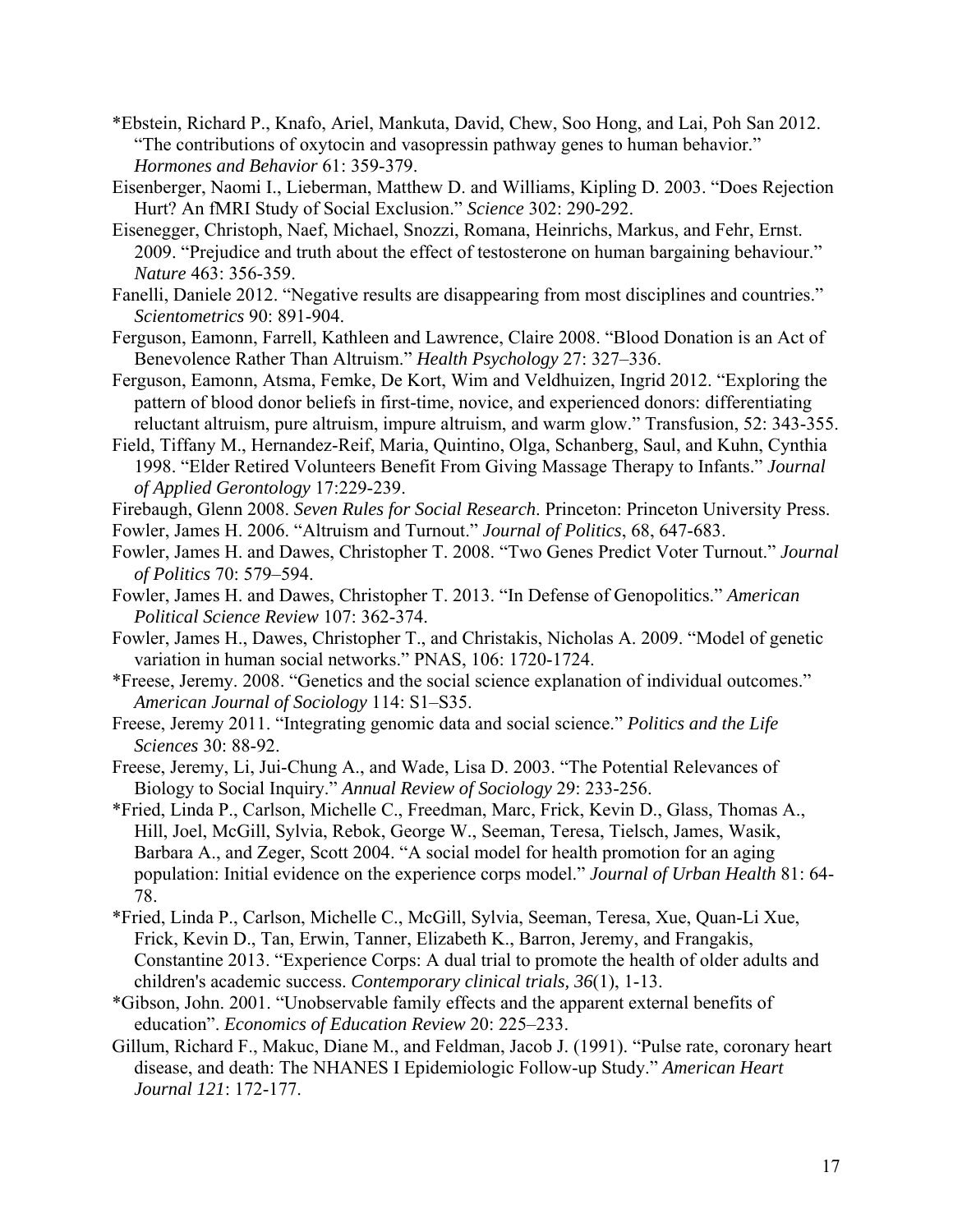- \*Ebstein, Richard P., Knafo, Ariel, Mankuta, David, Chew, Soo Hong, and Lai, Poh San 2012. "The contributions of oxytocin and vasopressin pathway genes to human behavior." *Hormones and Behavior* 61: 359-379.
- Eisenberger, Naomi I., Lieberman, Matthew D. and Williams, Kipling D. 2003. "Does Rejection Hurt? An fMRI Study of Social Exclusion." *Science* 302: 290-292.
- Eisenegger, Christoph, Naef, Michael, Snozzi, Romana, Heinrichs, Markus, and Fehr, Ernst. 2009. "Prejudice and truth about the effect of testosterone on human bargaining behaviour." *Nature* 463: 356-359.
- Fanelli, Daniele 2012. "Negative results are disappearing from most disciplines and countries." *Scientometrics* 90: 891-904.
- Ferguson, Eamonn, Farrell, Kathleen and Lawrence, Claire 2008. "Blood Donation is an Act of Benevolence Rather Than Altruism." *Health Psychology* 27: 327–336.
- Ferguson, Eamonn, Atsma, Femke, De Kort, Wim and Veldhuizen, Ingrid 2012. "Exploring the pattern of blood donor beliefs in first-time, novice, and experienced donors: differentiating reluctant altruism, pure altruism, impure altruism, and warm glow." Transfusion, 52: 343-355.
- Field, Tiffany M., Hernandez-Reif, Maria, Quintino, Olga, Schanberg, Saul, and Kuhn, Cynthia 1998. "Elder Retired Volunteers Benefit From Giving Massage Therapy to Infants." *Journal of Applied Gerontology* 17:229-239.
- Firebaugh, Glenn 2008. *Seven Rules for Social Research*. Princeton: Princeton University Press.
- Fowler, James H. 2006. "Altruism and Turnout." *Journal of Politics*, 68, 647-683.
- Fowler, James H. and Dawes, Christopher T. 2008. "Two Genes Predict Voter Turnout." *Journal of Politics* 70: 579–594.
- Fowler, James H. and Dawes, Christopher T. 2013. "In Defense of Genopolitics." *American Political Science Review* 107: 362-374.
- Fowler, James H., Dawes, Christopher T., and Christakis, Nicholas A. 2009. "Model of genetic variation in human social networks." PNAS, 106: 1720-1724.
- \*Freese, Jeremy. 2008. "Genetics and the social science explanation of individual outcomes." *American Journal of Sociology* 114: S1–S35.
- Freese, Jeremy 2011. "Integrating genomic data and social science." *Politics and the Life Sciences* 30: 88-92.
- Freese, Jeremy, Li, Jui-Chung A., and Wade, Lisa D. 2003. "The Potential Relevances of Biology to Social Inquiry." *Annual Review of Sociology* 29: 233-256.
- \*Fried, Linda P., Carlson, Michelle C., Freedman, Marc, Frick, Kevin D., Glass, Thomas A., Hill, Joel, McGill, Sylvia, Rebok, George W., Seeman, Teresa, Tielsch, James, Wasik, Barbara A., and Zeger, Scott 2004. "A social model for health promotion for an aging population: Initial evidence on the experience corps model." *Journal of Urban Health* 81: 64- 78.
- \*Fried, Linda P., Carlson, Michelle C., McGill, Sylvia, Seeman, Teresa, Xue, Quan-Li Xue, Frick, Kevin D., Tan, Erwin, Tanner, Elizabeth K., Barron, Jeremy, and Frangakis, Constantine 2013. "Experience Corps: A dual trial to promote the health of older adults and children's academic success. *Contemporary clinical trials, 36*(1), 1-13.
- \*Gibson, John. 2001. "Unobservable family effects and the apparent external benefits of education". *Economics of Education Review* 20: 225–233.
- Gillum, Richard F., Makuc, Diane M., and Feldman, Jacob J. (1991). "Pulse rate, coronary heart disease, and death: The NHANES I Epidemiologic Follow-up Study." *American Heart Journal 121*: 172-177.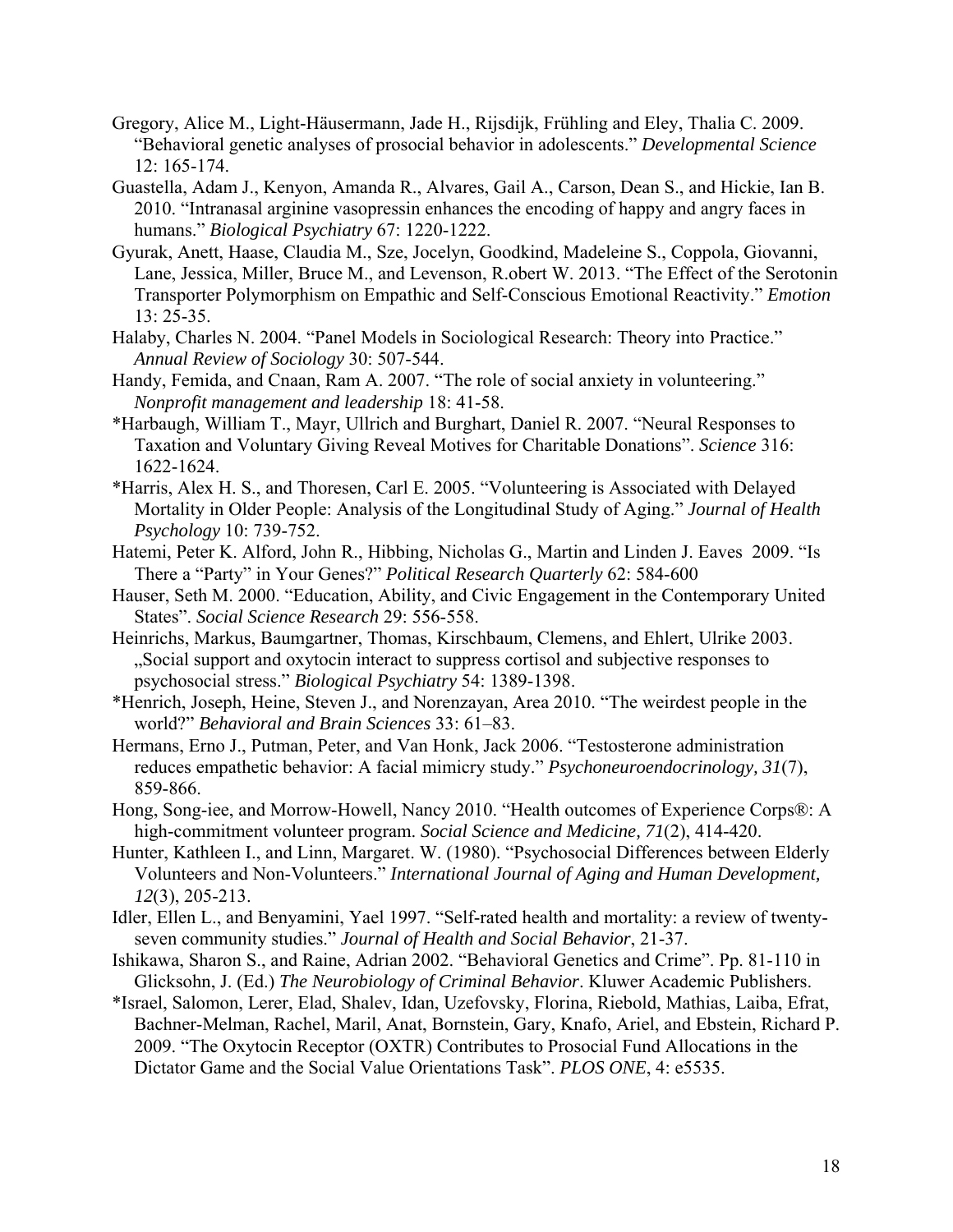- Gregory, Alice M., Light-Häusermann, Jade H., Rijsdijk, Frühling and Eley, Thalia C. 2009. "Behavioral genetic analyses of prosocial behavior in adolescents." *Developmental Science*  12: 165-174.
- Guastella, Adam J., Kenyon, Amanda R., Alvares, Gail A., Carson, Dean S., and Hickie, Ian B. 2010. "Intranasal arginine vasopressin enhances the encoding of happy and angry faces in humans." *Biological Psychiatry* 67: 1220-1222.
- Gyurak, Anett, Haase, Claudia M., Sze, Jocelyn, Goodkind, Madeleine S., Coppola, Giovanni, Lane, Jessica, Miller, Bruce M., and Levenson, R.obert W. 2013. "The Effect of the Serotonin Transporter Polymorphism on Empathic and Self-Conscious Emotional Reactivity." *Emotion* 13: 25-35.
- Halaby, Charles N. 2004. "Panel Models in Sociological Research: Theory into Practice." *Annual Review of Sociology* 30: 507-544.
- Handy, Femida, and Cnaan, Ram A. 2007. "The role of social anxiety in volunteering." *Nonprofit management and leadership* 18: 41-58.
- \*Harbaugh, William T., Mayr, Ullrich and Burghart, Daniel R. 2007. "Neural Responses to Taxation and Voluntary Giving Reveal Motives for Charitable Donations". *Science* 316: 1622-1624.
- \*Harris, Alex H. S., and Thoresen, Carl E. 2005. "Volunteering is Associated with Delayed Mortality in Older People: Analysis of the Longitudinal Study of Aging." *Journal of Health Psychology* 10: 739-752.
- Hatemi, Peter K. Alford, John R., Hibbing, Nicholas G., Martin and Linden J. Eaves 2009. "Is There a "Party" in Your Genes?" *Political Research Quarterly* 62: 584-600
- Hauser, Seth M. 2000. "Education, Ability, and Civic Engagement in the Contemporary United States". *Social Science Research* 29: 556-558.
- Heinrichs, Markus, Baumgartner, Thomas, Kirschbaum, Clemens, and Ehlert, Ulrike 2003. "Social support and oxytocin interact to suppress cortisol and subjective responses to psychosocial stress." *Biological Psychiatry* 54: 1389-1398.
- \*Henrich, Joseph, Heine, Steven J., and Norenzayan, Area 2010. "The weirdest people in the world?" *Behavioral and Brain Sciences* 33: 61–83.
- Hermans, Erno J., Putman, Peter, and Van Honk, Jack 2006. "Testosterone administration reduces empathetic behavior: A facial mimicry study." *Psychoneuroendocrinology, 31*(7), 859-866.
- Hong, Song-iee, and Morrow-Howell, Nancy 2010. "Health outcomes of Experience Corps®: A high-commitment volunteer program. *Social Science and Medicine, 71*(2), 414-420.
- Hunter, Kathleen I., and Linn, Margaret. W. (1980). "Psychosocial Differences between Elderly Volunteers and Non-Volunteers." *International Journal of Aging and Human Development, 12*(3), 205-213.
- Idler, Ellen L., and Benyamini, Yael 1997. "Self-rated health and mortality: a review of twentyseven community studies." *Journal of Health and Social Behavior*, 21-37.
- Ishikawa, Sharon S., and Raine, Adrian 2002. "Behavioral Genetics and Crime". Pp. 81-110 in Glicksohn, J. (Ed.) *The Neurobiology of Criminal Behavior*. Kluwer Academic Publishers.
- \*Israel, Salomon, Lerer, Elad, Shalev, Idan, Uzefovsky, Florina, Riebold, Mathias, Laiba, Efrat, Bachner-Melman, Rachel, Maril, Anat, Bornstein, Gary, Knafo, Ariel, and Ebstein, Richard P. 2009. "The Oxytocin Receptor (OXTR) Contributes to Prosocial Fund Allocations in the Dictator Game and the Social Value Orientations Task". *PLOS ONE*, 4: e5535.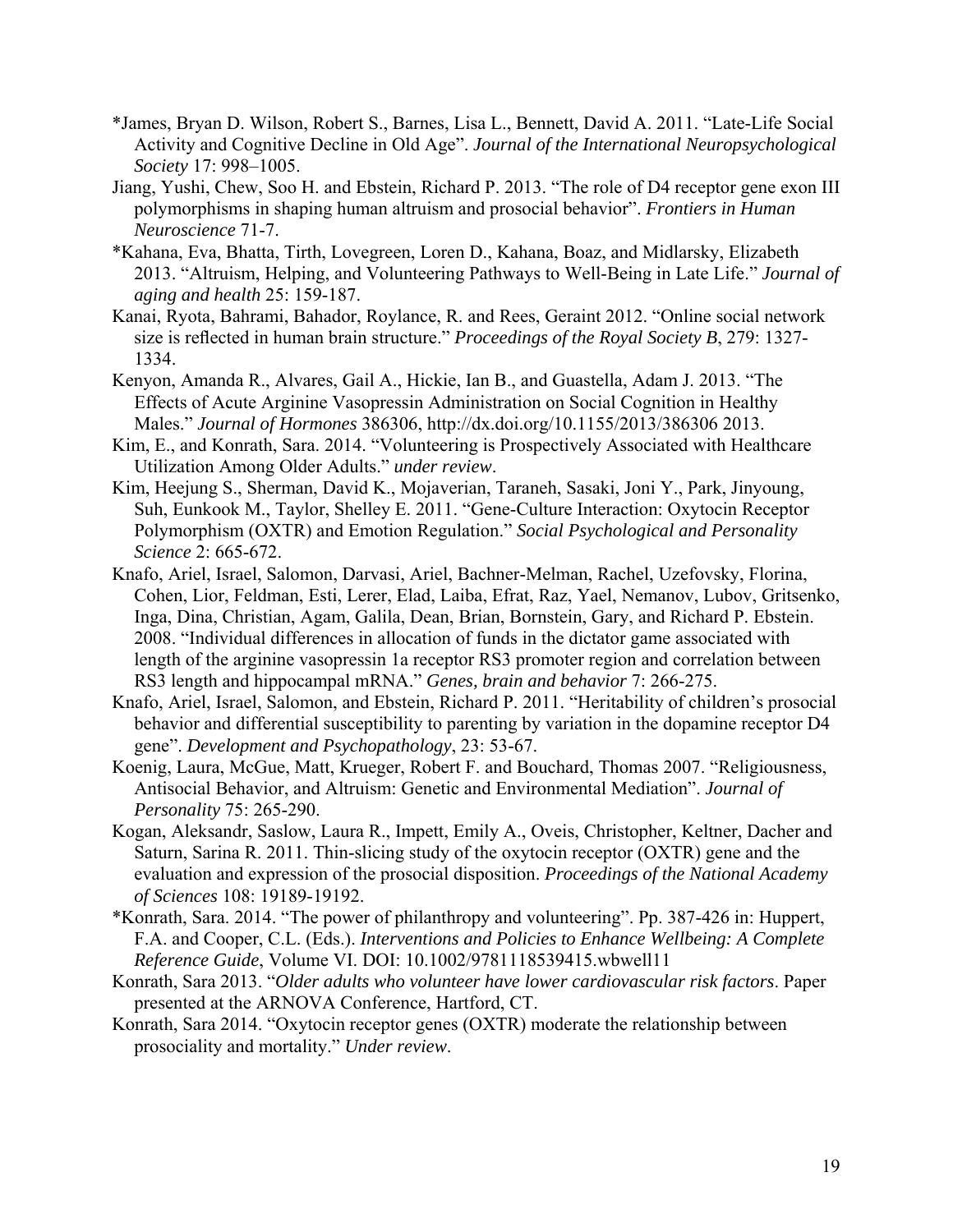- \*James, Bryan D. Wilson, Robert S., Barnes, Lisa L., Bennett, David A. 2011. "Late-Life Social Activity and Cognitive Decline in Old Age". *Journal of the International Neuropsychological Society* 17: 998–1005.
- Jiang, Yushi, Chew, Soo H. and Ebstein, Richard P. 2013. "The role of D4 receptor gene exon III polymorphisms in shaping human altruism and prosocial behavior". *Frontiers in Human Neuroscience* 71-7.
- \*Kahana, Eva, Bhatta, Tirth, Lovegreen, Loren D., Kahana, Boaz, and Midlarsky, Elizabeth 2013. "Altruism, Helping, and Volunteering Pathways to Well-Being in Late Life." *Journal of aging and health* 25: 159-187.
- Kanai, Ryota, Bahrami, Bahador, Roylance, R. and Rees, Geraint 2012. "Online social network size is reflected in human brain structure." *Proceedings of the Royal Society B*, 279: 1327- 1334.
- Kenyon, Amanda R., Alvares, Gail A., Hickie, Ian B., and Guastella, Adam J. 2013. "The Effects of Acute Arginine Vasopressin Administration on Social Cognition in Healthy Males." *Journal of Hormones* 386306, http://dx.doi.org/10.1155/2013/386306 2013.
- Kim, E., and Konrath, Sara. 2014. "Volunteering is Prospectively Associated with Healthcare Utilization Among Older Adults." *under review*.
- Kim, Heejung S., Sherman, David K., Mojaverian, Taraneh, Sasaki, Joni Y., Park, Jinyoung, Suh, Eunkook M., Taylor, Shelley E. 2011. "Gene-Culture Interaction: Oxytocin Receptor Polymorphism (OXTR) and Emotion Regulation." *Social Psychological and Personality Science* 2: 665-672.
- Knafo, Ariel, Israel, Salomon, Darvasi, Ariel, Bachner-Melman, Rachel, Uzefovsky, Florina, Cohen, Lior, Feldman, Esti, Lerer, Elad, Laiba, Efrat, Raz, Yael, Nemanov, Lubov, Gritsenko, Inga, Dina, Christian, Agam, Galila, Dean, Brian, Bornstein, Gary, and Richard P. Ebstein. 2008. "Individual differences in allocation of funds in the dictator game associated with length of the arginine vasopressin 1a receptor RS3 promoter region and correlation between RS3 length and hippocampal mRNA." *Genes, brain and behavior* 7: 266-275.
- Knafo, Ariel, Israel, Salomon, and Ebstein, Richard P. 2011. "Heritability of children's prosocial behavior and differential susceptibility to parenting by variation in the dopamine receptor D4 gene". *Development and Psychopathology*, 23: 53-67.
- Koenig, Laura, McGue, Matt, Krueger, Robert F. and Bouchard, Thomas 2007. "Religiousness, Antisocial Behavior, and Altruism: Genetic and Environmental Mediation". *Journal of Personality* 75: 265-290.
- Kogan, Aleksandr, Saslow, Laura R., Impett, Emily A., Oveis, Christopher, Keltner, Dacher and Saturn, Sarina R. 2011. Thin-slicing study of the oxytocin receptor (OXTR) gene and the evaluation and expression of the prosocial disposition. *Proceedings of the National Academy of Sciences* 108: 19189-19192.
- \*Konrath, Sara. 2014. "The power of philanthropy and volunteering". Pp. 387-426 in: Huppert, F.A. and Cooper, C.L. (Eds.). *Interventions and Policies to Enhance Wellbeing: A Complete Reference Guide*, Volume VI. DOI: 10.1002/9781118539415.wbwell11
- Konrath, Sara 2013. "*Older adults who volunteer have lower cardiovascular risk factors*. Paper presented at the ARNOVA Conference, Hartford, CT.
- Konrath, Sara 2014. "Oxytocin receptor genes (OXTR) moderate the relationship between prosociality and mortality." *Under review*.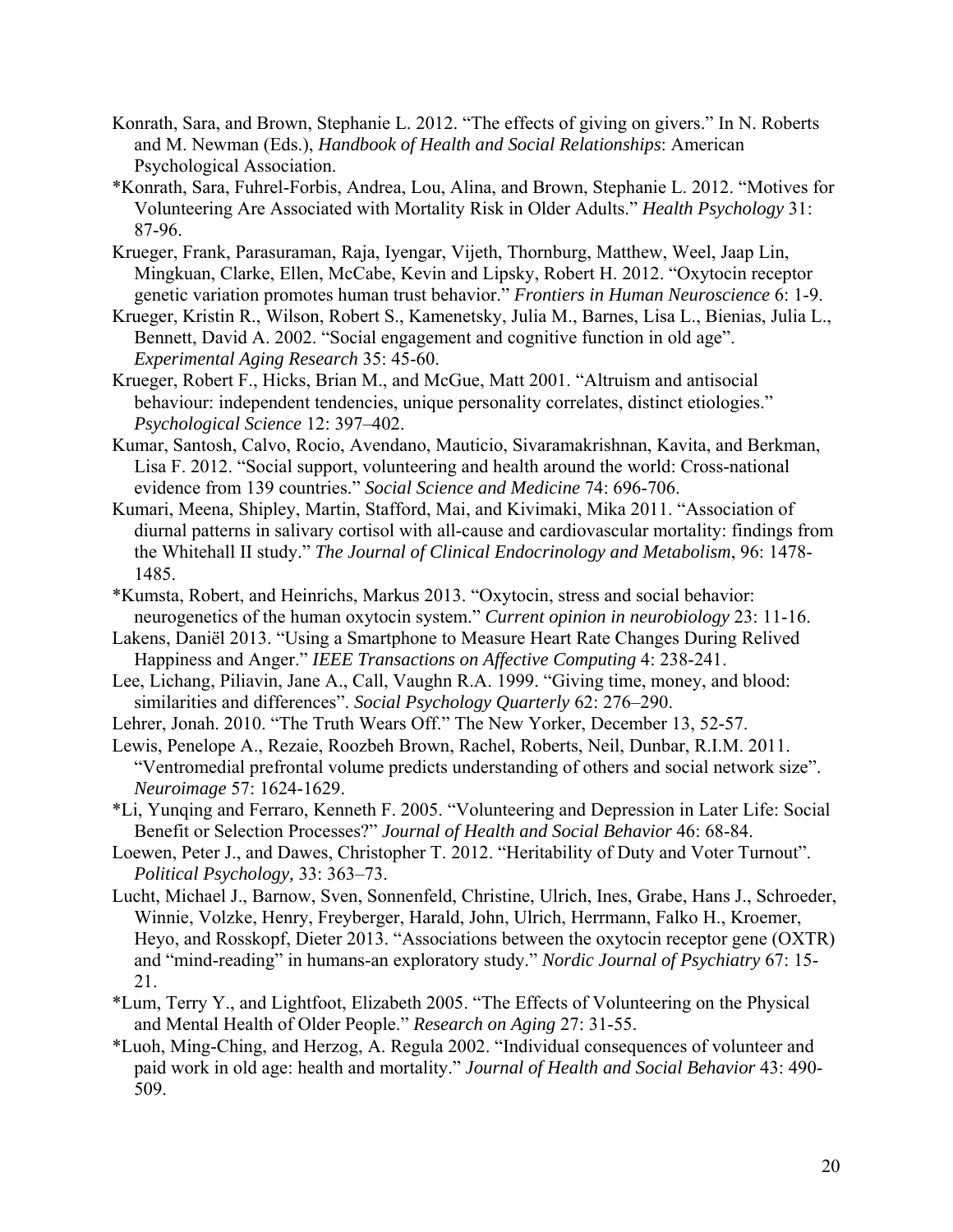- Konrath, Sara, and Brown, Stephanie L. 2012. "The effects of giving on givers." In N. Roberts and M. Newman (Eds.), *Handbook of Health and Social Relationships*: American Psychological Association.
- \*Konrath, Sara, Fuhrel-Forbis, Andrea, Lou, Alina, and Brown, Stephanie L. 2012. "Motives for Volunteering Are Associated with Mortality Risk in Older Adults." *Health Psychology* 31: 87-96.
- Krueger, Frank, Parasuraman, Raja, Iyengar, Vijeth, Thornburg, Matthew, Weel, Jaap Lin, Mingkuan, Clarke, Ellen, McCabe, Kevin and Lipsky, Robert H. 2012. "Oxytocin receptor genetic variation promotes human trust behavior." *Frontiers in Human Neuroscience* 6: 1-9.
- Krueger, Kristin R., Wilson, Robert S., Kamenetsky, Julia M., Barnes, Lisa L., Bienias, Julia L., Bennett, David A. 2002. "Social engagement and cognitive function in old age". *Experimental Aging Research* 35: 45-60.
- Krueger, Robert F., Hicks, Brian M., and McGue, Matt 2001. "Altruism and antisocial behaviour: independent tendencies, unique personality correlates, distinct etiologies." *Psychological Science* 12: 397–402.
- Kumar, Santosh, Calvo, Rocio, Avendano, Mauticio, Sivaramakrishnan, Kavita, and Berkman, Lisa F. 2012. "Social support, volunteering and health around the world: Cross-national evidence from 139 countries." *Social Science and Medicine* 74: 696-706.
- Kumari, Meena, Shipley, Martin, Stafford, Mai, and Kivimaki, Mika 2011. "Association of diurnal patterns in salivary cortisol with all-cause and cardiovascular mortality: findings from the Whitehall II study." *The Journal of Clinical Endocrinology and Metabolism*, 96: 1478- 1485.
- \*Kumsta, Robert, and Heinrichs, Markus 2013. "Oxytocin, stress and social behavior: neurogenetics of the human oxytocin system." *Current opinion in neurobiology* 23: 11-16.
- Lakens, Daniël 2013. "Using a Smartphone to Measure Heart Rate Changes During Relived Happiness and Anger." *IEEE Transactions on Affective Computing* 4: 238-241.
- Lee, Lichang, Piliavin, Jane A., Call, Vaughn R.A. 1999. "Giving time, money, and blood: similarities and differences". *Social Psychology Quarterly* 62: 276–290.
- Lehrer, Jonah. 2010. "The Truth Wears Off." The New Yorker, December 13, 52-57.
- Lewis, Penelope A., Rezaie, Roozbeh Brown, Rachel, Roberts, Neil, Dunbar, R.I.M. 2011. "Ventromedial prefrontal volume predicts understanding of others and social network size". *Neuroimage* 57: 1624-1629.
- \*Li, Yunqing and Ferraro, Kenneth F. 2005. "Volunteering and Depression in Later Life: Social Benefit or Selection Processes?" *Journal of Health and Social Behavior* 46: 68-84.
- Loewen, Peter J., and Dawes, Christopher T. 2012. "Heritability of Duty and Voter Turnout". *Political Psychology,* 33: 363–73.
- Lucht, Michael J., Barnow, Sven, Sonnenfeld, Christine, Ulrich, Ines, Grabe, Hans J., Schroeder, Winnie, Volzke, Henry, Freyberger, Harald, John, Ulrich, Herrmann, Falko H., Kroemer, Heyo, and Rosskopf, Dieter 2013. "Associations between the oxytocin receptor gene (OXTR) and "mind-reading" in humans-an exploratory study." *Nordic Journal of Psychiatry* 67: 15- 21.
- \*Lum, Terry Y., and Lightfoot, Elizabeth 2005. "The Effects of Volunteering on the Physical and Mental Health of Older People." *Research on Aging* 27: 31-55.
- \*Luoh, Ming-Ching, and Herzog, A. Regula 2002. "Individual consequences of volunteer and paid work in old age: health and mortality." *Journal of Health and Social Behavior* 43: 490- 509.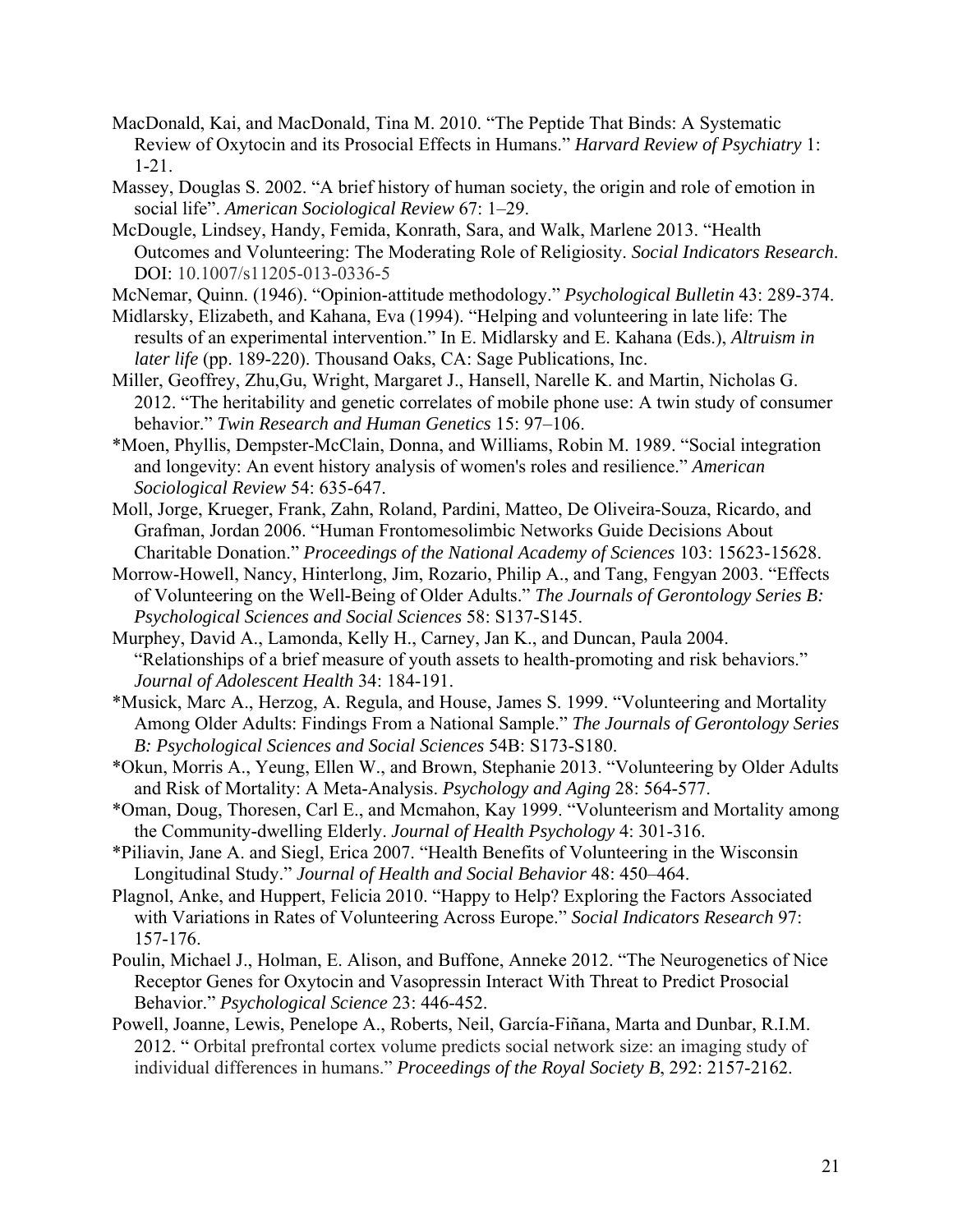- MacDonald, Kai, and MacDonald, Tina M. 2010. "The Peptide That Binds: A Systematic Review of Oxytocin and its Prosocial Effects in Humans." *Harvard Review of Psychiatry* 1: 1-21.
- Massey, Douglas S. 2002. "A brief history of human society, the origin and role of emotion in social life". *American Sociological Review* 67: 1–29.
- McDougle, Lindsey, Handy, Femida, Konrath, Sara, and Walk, Marlene 2013. "Health Outcomes and Volunteering: The Moderating Role of Religiosity. *Social Indicators Research*. DOI: 10.1007/s11205-013-0336-5
- McNemar, Quinn. (1946). "Opinion-attitude methodology." *Psychological Bulletin* 43: 289-374.
- Midlarsky, Elizabeth, and Kahana, Eva (1994). "Helping and volunteering in late life: The results of an experimental intervention." In E. Midlarsky and E. Kahana (Eds.), *Altruism in later life* (pp. 189-220). Thousand Oaks, CA: Sage Publications, Inc.
- Miller, Geoffrey, Zhu,Gu, Wright, Margaret J., Hansell, Narelle K. and Martin, Nicholas G. 2012. "The heritability and genetic correlates of mobile phone use: A twin study of consumer behavior." *Twin Research and Human Genetics* 15: 97–106.
- \*Moen, Phyllis, Dempster-McClain, Donna, and Williams, Robin M. 1989. "Social integration and longevity: An event history analysis of women's roles and resilience." *American Sociological Review* 54: 635-647.
- Moll, Jorge, Krueger, Frank, Zahn, Roland, Pardini, Matteo, De Oliveira-Souza, Ricardo, and Grafman, Jordan 2006. "Human Frontomesolimbic Networks Guide Decisions About Charitable Donation." *Proceedings of the National Academy of Sciences* 103: 15623-15628.
- Morrow-Howell, Nancy, Hinterlong, Jim, Rozario, Philip A., and Tang, Fengyan 2003. "Effects of Volunteering on the Well-Being of Older Adults." *The Journals of Gerontology Series B: Psychological Sciences and Social Sciences* 58: S137-S145.
- Murphey, David A., Lamonda, Kelly H., Carney, Jan K., and Duncan, Paula 2004. "Relationships of a brief measure of youth assets to health-promoting and risk behaviors." *Journal of Adolescent Health* 34: 184-191.
- \*Musick, Marc A., Herzog, A. Regula, and House, James S. 1999. "Volunteering and Mortality Among Older Adults: Findings From a National Sample." *The Journals of Gerontology Series B: Psychological Sciences and Social Sciences* 54B: S173-S180.
- \*Okun, Morris A., Yeung, Ellen W., and Brown, Stephanie 2013. "Volunteering by Older Adults and Risk of Mortality: A Meta-Analysis. *Psychology and Aging* 28: 564-577.
- \*Oman, Doug, Thoresen, Carl E., and Mcmahon, Kay 1999. "Volunteerism and Mortality among the Community-dwelling Elderly. *Journal of Health Psychology* 4: 301-316.
- \*Piliavin, Jane A. and Siegl, Erica 2007. "Health Benefits of Volunteering in the Wisconsin Longitudinal Study." *Journal of Health and Social Behavior* 48: 450–464.
- Plagnol, Anke, and Huppert, Felicia 2010. "Happy to Help? Exploring the Factors Associated with Variations in Rates of Volunteering Across Europe." *Social Indicators Research* 97: 157-176.
- Poulin, Michael J., Holman, E. Alison, and Buffone, Anneke 2012. "The Neurogenetics of Nice Receptor Genes for Oxytocin and Vasopressin Interact With Threat to Predict Prosocial Behavior." *Psychological Science* 23: 446-452.
- Powell, Joanne, Lewis, Penelope A., Roberts, Neil, García-Fiñana, Marta and Dunbar, R.I.M. 2012. " Orbital prefrontal cortex volume predicts social network size: an imaging study of individual differences in humans." *Proceedings of the Royal Society B*, 292: 2157-2162.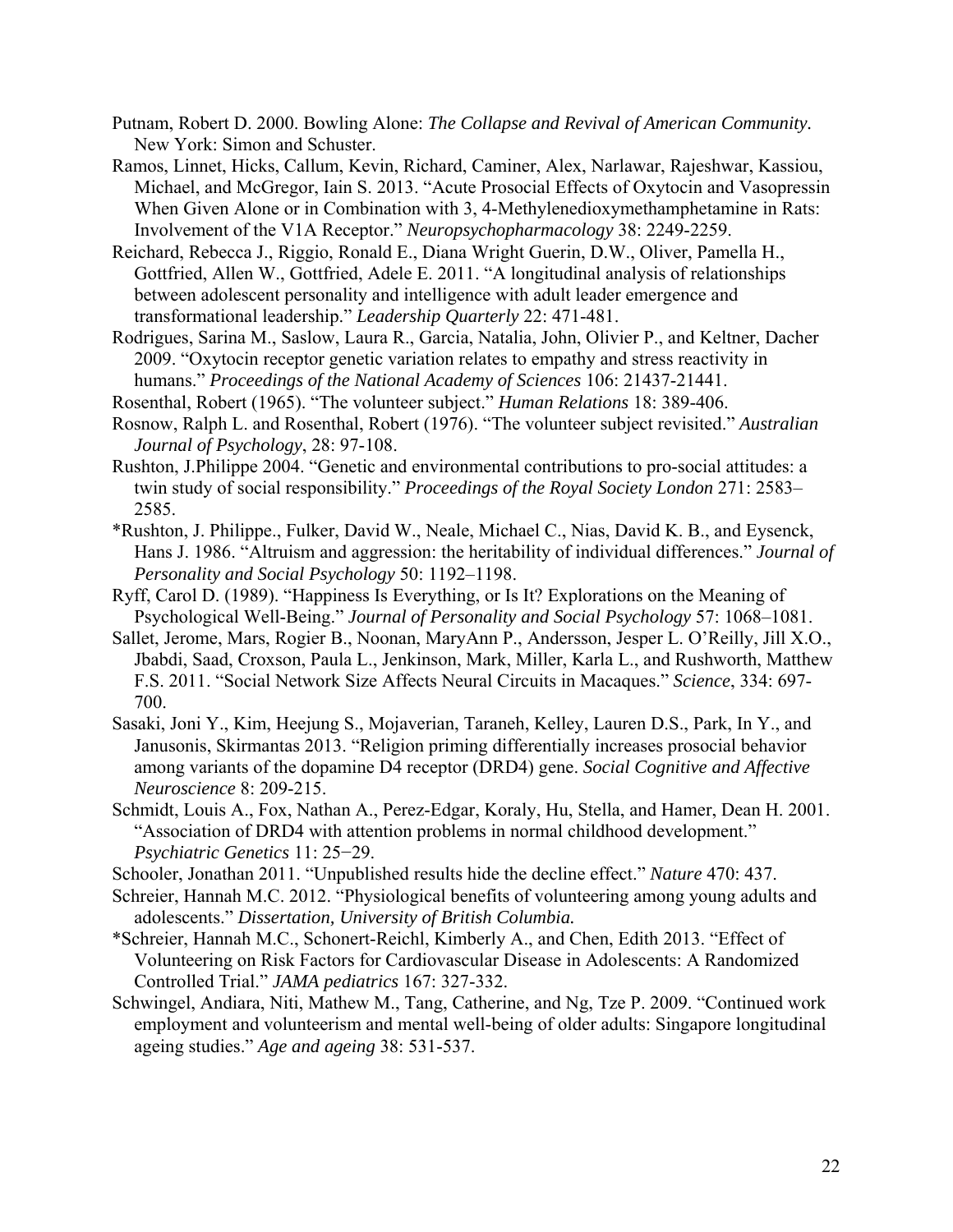- Putnam, Robert D. 2000. Bowling Alone: *The Collapse and Revival of American Community.*  New York: Simon and Schuster.
- Ramos, Linnet, Hicks, Callum, Kevin, Richard, Caminer, Alex, Narlawar, Rajeshwar, Kassiou, Michael, and McGregor, Iain S. 2013. "Acute Prosocial Effects of Oxytocin and Vasopressin When Given Alone or in Combination with 3, 4-Methylenedioxymethamphetamine in Rats: Involvement of the V1A Receptor." *Neuropsychopharmacology* 38: 2249-2259.
- Reichard, Rebecca J., Riggio, Ronald E., Diana Wright Guerin, D.W., Oliver, Pamella H., Gottfried, Allen W., Gottfried, Adele E. 2011. "A longitudinal analysis of relationships between adolescent personality and intelligence with adult leader emergence and transformational leadership." *Leadership Quarterly* 22: 471-481.
- Rodrigues, Sarina M., Saslow, Laura R., Garcia, Natalia, John, Olivier P., and Keltner, Dacher 2009. "Oxytocin receptor genetic variation relates to empathy and stress reactivity in humans." *Proceedings of the National Academy of Sciences* 106: 21437-21441.
- Rosenthal, Robert (1965). "The volunteer subject." *Human Relations* 18: 389-406.
- Rosnow, Ralph L. and Rosenthal, Robert (1976). "The volunteer subject revisited." *Australian Journal of Psychology*, 28: 97-108.
- Rushton, J.Philippe 2004. "Genetic and environmental contributions to pro-social attitudes: a twin study of social responsibility." *Proceedings of the Royal Society London* 271: 2583– 2585.
- \*Rushton, J. Philippe., Fulker, David W., Neale, Michael C., Nias, David K. B., and Eysenck, Hans J. 1986. "Altruism and aggression: the heritability of individual differences." *Journal of Personality and Social Psychology* 50: 1192–1198.
- Ryff, Carol D. (1989). "Happiness Is Everything, or Is It? Explorations on the Meaning of Psychological Well-Being." *Journal of Personality and Social Psychology* 57: 1068–1081.
- Sallet, Jerome, Mars, Rogier B., Noonan, MaryAnn P., Andersson, Jesper L. O'Reilly, Jill X.O., Jbabdi, Saad, Croxson, Paula L., Jenkinson, Mark, Miller, Karla L., and Rushworth, Matthew F.S. 2011. "Social Network Size Affects Neural Circuits in Macaques." *Science*, 334: 697- 700.
- Sasaki, Joni Y., Kim, Heejung S., Mojaverian, Taraneh, Kelley, Lauren D.S., Park, In Y., and Janusonis, Skirmantas 2013. "Religion priming differentially increases prosocial behavior among variants of the dopamine D4 receptor (DRD4) gene. *Social Cognitive and Affective Neuroscience* 8: 209-215.
- Schmidt, Louis A., Fox, Nathan A., Perez-Edgar, Koraly, Hu, Stella, and Hamer, Dean H. 2001. "Association of DRD4 with attention problems in normal childhood development." *Psychiatric Genetics* 11: 25−29.
- Schooler, Jonathan 2011. "Unpublished results hide the decline effect." *Nature* 470: 437.
- Schreier, Hannah M.C. 2012. "Physiological benefits of volunteering among young adults and adolescents." *Dissertation, University of British Columbia.*
- \*Schreier, Hannah M.C., Schonert-Reichl, Kimberly A., and Chen, Edith 2013. "Effect of Volunteering on Risk Factors for Cardiovascular Disease in Adolescents: A Randomized Controlled Trial." *JAMA pediatrics* 167: 327-332.
- Schwingel, Andiara, Niti, Mathew M., Tang, Catherine, and Ng, Tze P. 2009. "Continued work employment and volunteerism and mental well-being of older adults: Singapore longitudinal ageing studies." *Age and ageing* 38: 531-537.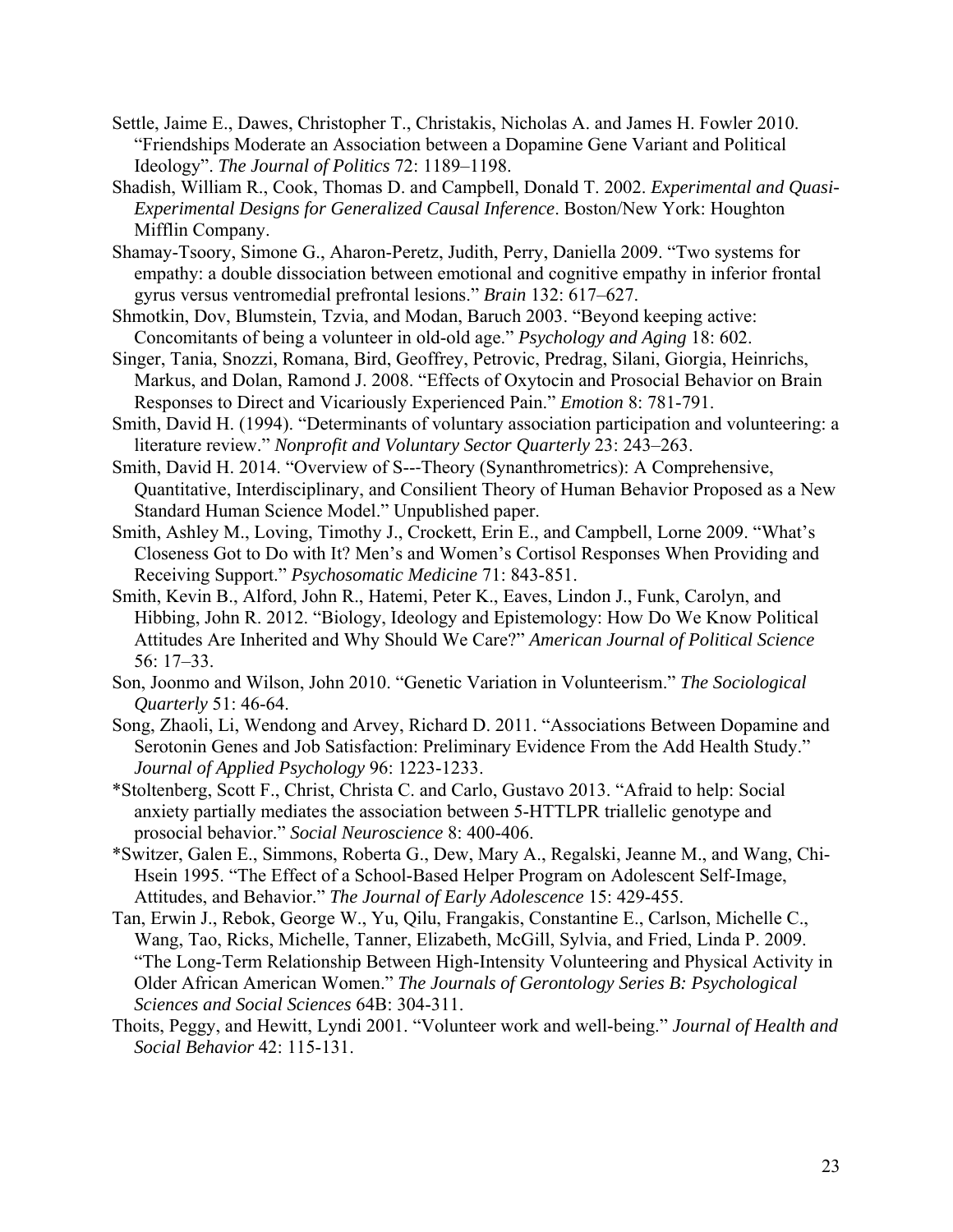- Settle, Jaime E., Dawes, Christopher T., Christakis, Nicholas A. and James H. Fowler 2010. "Friendships Moderate an Association between a Dopamine Gene Variant and Political Ideology". *The Journal of Politics* 72: 1189–1198.
- Shadish, William R., Cook, Thomas D. and Campbell, Donald T. 2002. *Experimental and Quasi-Experimental Designs for Generalized Causal Inference*. Boston/New York: Houghton Mifflin Company.
- Shamay-Tsoory, Simone G., Aharon-Peretz, Judith, Perry, Daniella 2009. "Two systems for empathy: a double dissociation between emotional and cognitive empathy in inferior frontal gyrus versus ventromedial prefrontal lesions." *Brain* 132: 617–627.
- Shmotkin, Dov, Blumstein, Tzvia, and Modan, Baruch 2003. "Beyond keeping active: Concomitants of being a volunteer in old-old age." *Psychology and Aging* 18: 602.
- Singer, Tania, Snozzi, Romana, Bird, Geoffrey, Petrovic, Predrag, Silani, Giorgia, Heinrichs, Markus, and Dolan, Ramond J. 2008. "Effects of Oxytocin and Prosocial Behavior on Brain Responses to Direct and Vicariously Experienced Pain." *Emotion* 8: 781-791.
- Smith, David H. (1994). "Determinants of voluntary association participation and volunteering: a literature review." *Nonprofit and Voluntary Sector Quarterly* 23: 243–263.
- Smith, David H. 2014. "Overview of S--‐Theory (Synanthrometrics): A Comprehensive, Quantitative, Interdisciplinary, and Consilient Theory of Human Behavior Proposed as a New Standard Human Science Model." Unpublished paper.
- Smith, Ashley M., Loving, Timothy J., Crockett, Erin E., and Campbell, Lorne 2009. "What's Closeness Got to Do with It? Men's and Women's Cortisol Responses When Providing and Receiving Support." *Psychosomatic Medicine* 71: 843-851.
- Smith, Kevin B., Alford, John R., Hatemi, Peter K., Eaves, Lindon J., Funk, Carolyn, and Hibbing, John R. 2012. "Biology, Ideology and Epistemology: How Do We Know Political Attitudes Are Inherited and Why Should We Care?" *American Journal of Political Science*  56: 17–33.
- Son, Joonmo and Wilson, John 2010. "Genetic Variation in Volunteerism." *The Sociological Quarterly* 51: 46-64.
- Song, Zhaoli, Li, Wendong and Arvey, Richard D. 2011. "Associations Between Dopamine and Serotonin Genes and Job Satisfaction: Preliminary Evidence From the Add Health Study." *Journal of Applied Psychology* 96: 1223-1233.
- \*Stoltenberg, Scott F., Christ, Christa C. and Carlo, Gustavo 2013. "Afraid to help: Social anxiety partially mediates the association between 5-HTTLPR triallelic genotype and prosocial behavior." *Social Neuroscience* 8: 400-406.
- \*Switzer, Galen E., Simmons, Roberta G., Dew, Mary A., Regalski, Jeanne M., and Wang, Chi-Hsein 1995. "The Effect of a School-Based Helper Program on Adolescent Self-Image, Attitudes, and Behavior." *The Journal of Early Adolescence* 15: 429-455.
- Tan, Erwin J., Rebok, George W., Yu, Qilu, Frangakis, Constantine E., Carlson, Michelle C., Wang, Tao, Ricks, Michelle, Tanner, Elizabeth, McGill, Sylvia, and Fried, Linda P. 2009. "The Long-Term Relationship Between High-Intensity Volunteering and Physical Activity in Older African American Women." *The Journals of Gerontology Series B: Psychological Sciences and Social Sciences* 64B: 304-311.
- Thoits, Peggy, and Hewitt, Lyndi 2001. "Volunteer work and well-being." *Journal of Health and Social Behavior* 42: 115-131.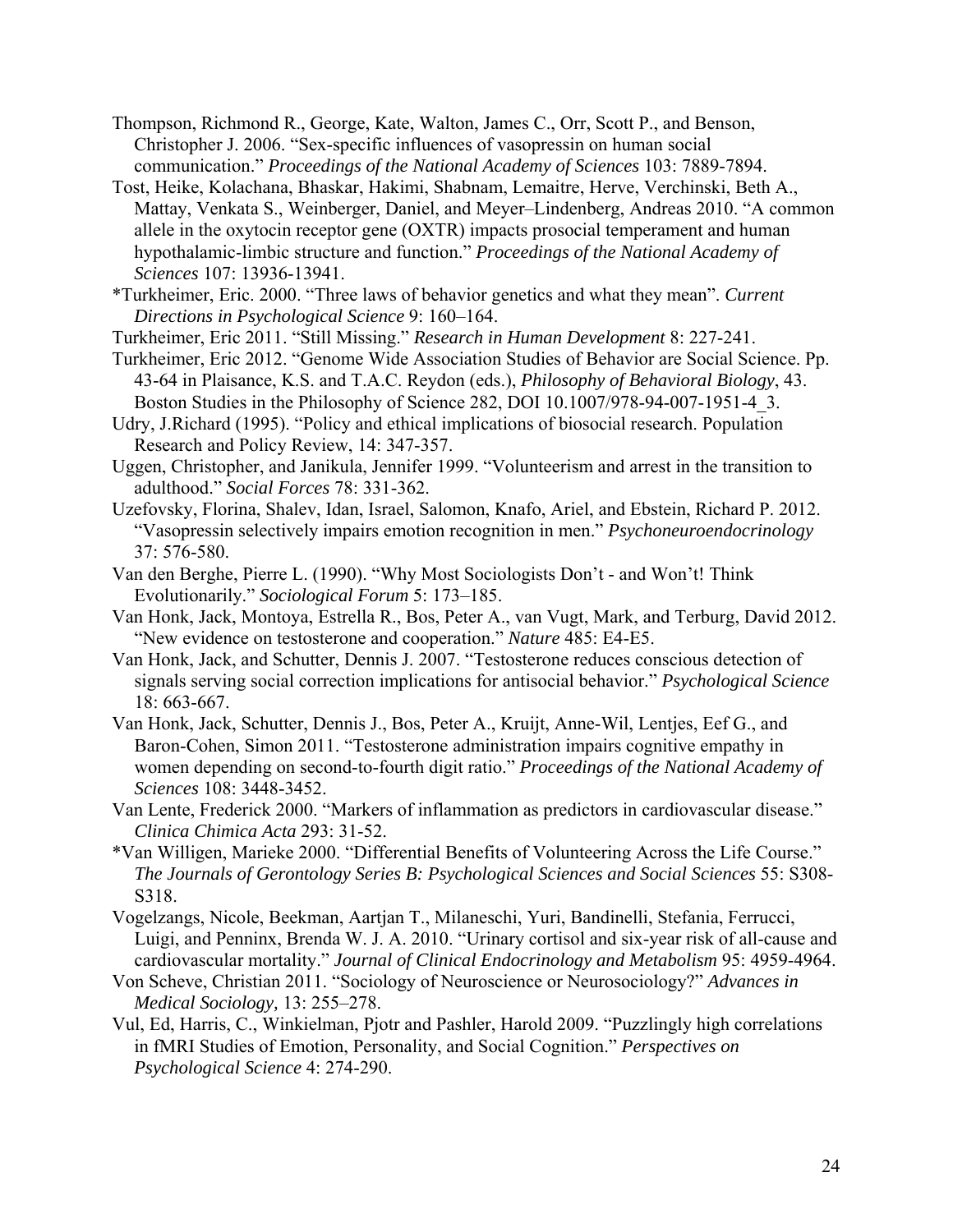- Thompson, Richmond R., George, Kate, Walton, James C., Orr, Scott P., and Benson, Christopher J. 2006. "Sex-specific influences of vasopressin on human social communication." *Proceedings of the National Academy of Sciences* 103: 7889-7894.
- Tost, Heike, Kolachana, Bhaskar, Hakimi, Shabnam, Lemaitre, Herve, Verchinski, Beth A., Mattay, Venkata S., Weinberger, Daniel, and Meyer–Lindenberg, Andreas 2010. "A common allele in the oxytocin receptor gene (OXTR) impacts prosocial temperament and human hypothalamic-limbic structure and function." *Proceedings of the National Academy of Sciences* 107: 13936-13941.
- \*Turkheimer, Eric. 2000. "Three laws of behavior genetics and what they mean". *Current Directions in Psychological Science* 9: 160–164.
- Turkheimer, Eric 2011. "Still Missing." *Research in Human Development* 8: 227-241.
- Turkheimer, Eric 2012. "Genome Wide Association Studies of Behavior are Social Science. Pp. 43-64 in Plaisance, K.S. and T.A.C. Reydon (eds.), *Philosophy of Behavioral Biology*, 43. Boston Studies in the Philosophy of Science 282, DOI 10.1007/978-94-007-1951-4\_3.
- Udry, J.Richard (1995). "Policy and ethical implications of biosocial research. Population Research and Policy Review, 14: 347-357.
- Uggen, Christopher, and Janikula, Jennifer 1999. "Volunteerism and arrest in the transition to adulthood." *Social Forces* 78: 331-362.
- Uzefovsky, Florina, Shalev, Idan, Israel, Salomon, Knafo, Ariel, and Ebstein, Richard P. 2012. "Vasopressin selectively impairs emotion recognition in men." *Psychoneuroendocrinology*  37: 576-580.
- Van den Berghe, Pierre L. (1990). "Why Most Sociologists Don't and Won't! Think Evolutionarily." *Sociological Forum* 5: 173–185.
- Van Honk, Jack, Montoya, Estrella R., Bos, Peter A., van Vugt, Mark, and Terburg, David 2012. "New evidence on testosterone and cooperation." *Nature* 485: E4-E5.
- Van Honk, Jack, and Schutter, Dennis J. 2007. "Testosterone reduces conscious detection of signals serving social correction implications for antisocial behavior." *Psychological Science* 18: 663-667.
- Van Honk, Jack, Schutter, Dennis J., Bos, Peter A., Kruijt, Anne-Wil, Lentjes, Eef G., and Baron-Cohen, Simon 2011. "Testosterone administration impairs cognitive empathy in women depending on second-to-fourth digit ratio." *Proceedings of the National Academy of Sciences* 108: 3448-3452.
- Van Lente, Frederick 2000. "Markers of inflammation as predictors in cardiovascular disease." *Clinica Chimica Acta* 293: 31-52.
- \*Van Willigen, Marieke 2000. "Differential Benefits of Volunteering Across the Life Course." *The Journals of Gerontology Series B: Psychological Sciences and Social Sciences* 55: S308- S318.
- Vogelzangs, Nicole, Beekman, Aartjan T., Milaneschi, Yuri, Bandinelli, Stefania, Ferrucci, Luigi, and Penninx, Brenda W. J. A. 2010. "Urinary cortisol and six-year risk of all-cause and cardiovascular mortality." *Journal of Clinical Endocrinology and Metabolism* 95: 4959-4964.
- Von Scheve, Christian 2011. "Sociology of Neuroscience or Neurosociology?" *Advances in Medical Sociology,* 13: 255–278.
- Vul, Ed, Harris, C., Winkielman, Pjotr and Pashler, Harold 2009. "Puzzlingly high correlations in fMRI Studies of Emotion, Personality, and Social Cognition." *Perspectives on Psychological Science* 4: 274-290.